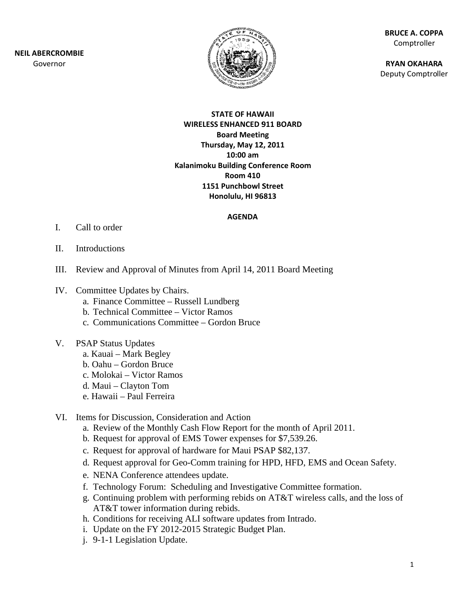**NEIL ABE RCROMBIE** Gov ernor



**BR RUCE A. COPP PA** Comptroller

**RY YAN OKAHAR A** Deputy Comptroller

#### **ST TATE OF HAW WAII WIRELESS ENHANCED 9 911 BOARD B Board Meetin ng Thurs sday, May 12 2, 2011 Kalanimoku B Building Conf ference Room m1151 Punchbowl S Street Ho nolulu, HI 96 6813 10:00 am Room 410**

#### **AGENDA**

- I. Call to order
- II. Introductions
- III. Review and Approval of Minutes from April 14, 2011 Board Meeting
- IV. Committee Updates by Chairs.
	- a. Finance Committee Russell Lundberg
	- b. Technical Committee Victor Ramos
	- c. Communications Committee Gordon Bruce
- V. PSAP Status Updates
	- a. Kauai Mark Begley
	- b. Oahu Gordon Bruce
	- c. Molokai Victor Ramos
	- d. Maui Clayton Tom
	- e. . Hawaii P Paul Ferreira
- VI. Items for Discussion, Consideration and Action
	- a. Review of the Monthly Cash Flow Report for the month of April 2011.
	- b. Request for approval of EMS Tower expenses for \$7,539.26.
	- c. Request for approval of hardware for Maui PSAP \$82,137.
	- d. Request approval for Geo-Comm training for HPD, HFD, EMS and Ocean Safety.
	- e. NENA Conference attendees update.
	- f. Technology Forum: Scheduling and Investigative Committee formation.
	- g. Continuing problem with performing rebids on AT&T wireless calls, and the loss of AT&T tower information during rebids.
	- h. Conditions for receiving ALI software updates from Intrado.
	- i. Update on the FY 2012-2015 Strategic Budget Plan.
	- j. 9-1-1 Legislation Update.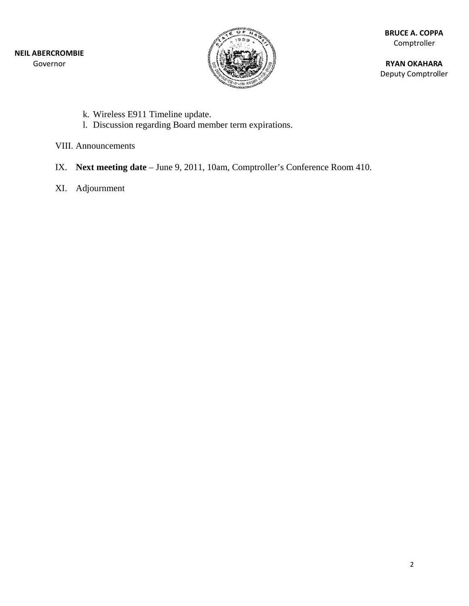

**BR RUCE A. COPP PA** Comptroller

**RY YAN OKAHAR A** Deputy Comptroller

- k. Wireless E911 Timeline update.
- 1. Discussion regarding Board member term expirations.

VIII. Announcements

- IX. Next meeting date June 9, 2011, 10am, Comptroller's Conference Room 410.
- XI. Adj journment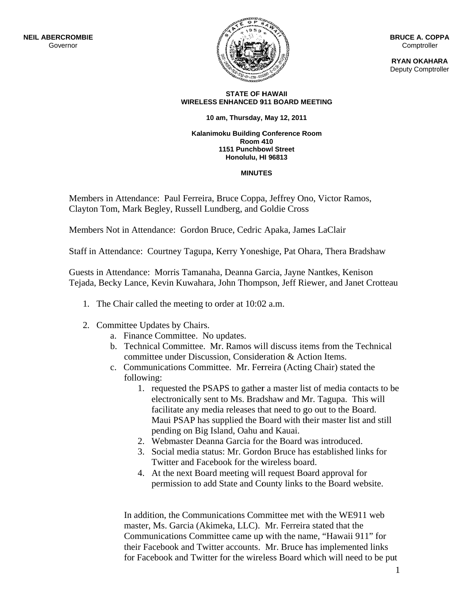

**B BRUCE A. COP PPA Comptroller** 

**R RYAN OKAHA ARA** Deputy Comptroller

#### **WIRELESS ENHANCED 9 911 BOARD M EETING STATE OF H HAWAII**

#### **10 a am, Thursday, May 12, 2011**

#### **Kalanimoku Building Conference Room Room 4 410**  1151 Punchbowl Street **Honolulu, H HI 96813**

#### **MINUT TES**

Members in Attendance: Paul Ferreira, Bruce Coppa, Jeffrey Ono, Victor Ramos, Clayton Tom, Mark Begley, Russell Lundberg, and Goldie Cross

Members Not in Attendance: Gordon Bruce, Cedric Apaka, James LaClair

Staff in Attendance: Courtney Tagupa, Kerry Yoneshige, Pat Ohara, Thera Bradshaw

Guests in Attendance: Morris Tamanaha, Deanna Garcia, Jayne Nantkes, Kenison Tejada, Becky Lance, Kevin Kuwahara, John Thompson, Jeff Riewer, and Janet Crotteau

- 1. The Chair called the meeting to order at 10:02 a.m.
- 2. Committee Updates by Chairs.
	- a. Finance Committee. No updates.
	- b. Technical Committee. Mr. Ramos will discuss items from the Technical committee under Discussion, Consideration & Action Items.
	- c. Communications Committee. Mr. Ferreira (Acting Chair) stated the fo llowing:
		- 1. requested the PSAPS to gather a master list of media contacts to be electronically sent to Ms. Bradshaw and Mr. Tagupa. This will facilitate any media releases that need to go out to the Board. Maui PSAP has supplied the Board with their master list and still pending on Big Island, Oahu and Kauai.
		- 2. Webmaster Deanna Garcia for the Board was introduced.
		- 3. Social media status: Mr. Gordon Bruce has established links for Twitter and Facebook for the wireless board.
		- 4. At the next Board meeting will request Board approval for permission to add State and County links to the Board website.

In addition, the Communications Committee met with the WE911 web master, Ms. Garcia (Akimeka, LLC). Mr. Ferreira stated that the Communications Committee came up with the name, "Hawaii 911" for their Facebook and Twitter accounts. Mr. Bruce has implemented links for Facebook and Twitter for the wireless Board which will need to be put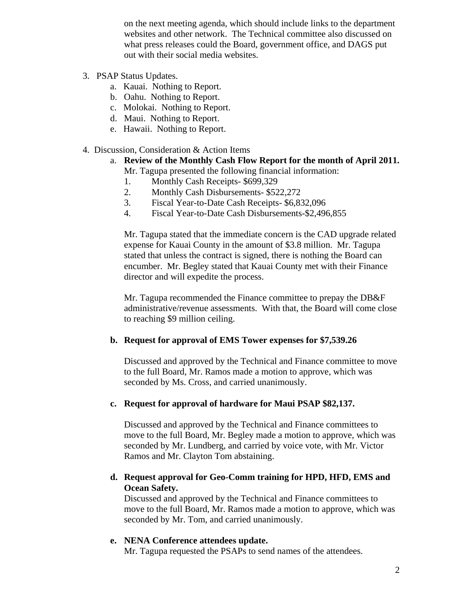on the next meeting agenda, which should include links to the department websites and other network. The Technical committee also discussed on what press releases could the Board, government office, and DAGS put out with their social media websites.

- 3. PSAP Status Updates.
	- a. Kauai. Nothing to Report.
	- b. Oahu. Nothing to Report.
	- c. Molokai. Nothing to Report.
	- d. Maui. Nothing to Report.
	- e. Hawaii. Nothing to Report.
- 4. Discussion, Consideration & Action Items
	- a. **Review of the Monthly Cash Flow Report for the month of April 2011.** Mr. Tagupa presented the following financial information:
		- 1. Monthly Cash Receipts- \$699,329
		- 2. Monthly Cash Disbursements- \$522,272
		- 3. Fiscal Year-to-Date Cash Receipts- \$6,832,096
		- 4. Fiscal Year-to-Date Cash Disbursements-\$2,496,855

Mr. Tagupa stated that the immediate concern is the CAD upgrade related expense for Kauai County in the amount of \$3.8 million. Mr. Tagupa stated that unless the contract is signed, there is nothing the Board can encumber. Mr. Begley stated that Kauai County met with their Finance director and will expedite the process.

Mr. Tagupa recommended the Finance committee to prepay the DB&F administrative/revenue assessments. With that, the Board will come close to reaching \$9 million ceiling.

#### **b. Request for approval of EMS Tower expenses for \$7,539.26**

Discussed and approved by the Technical and Finance committee to move to the full Board, Mr. Ramos made a motion to approve, which was seconded by Ms. Cross, and carried unanimously.

#### **c. Request for approval of hardware for Maui PSAP \$82,137.**

Discussed and approved by the Technical and Finance committees to move to the full Board, Mr. Begley made a motion to approve, which was seconded by Mr. Lundberg, and carried by voice vote, with Mr. Victor Ramos and Mr. Clayton Tom abstaining.

#### **d. Request approval for Geo-Comm training for HPD, HFD, EMS and Ocean Safety.**

Discussed and approved by the Technical and Finance committees to move to the full Board, Mr. Ramos made a motion to approve, which was seconded by Mr. Tom, and carried unanimously.

#### **e. NENA Conference attendees update.**

Mr. Tagupa requested the PSAPs to send names of the attendees.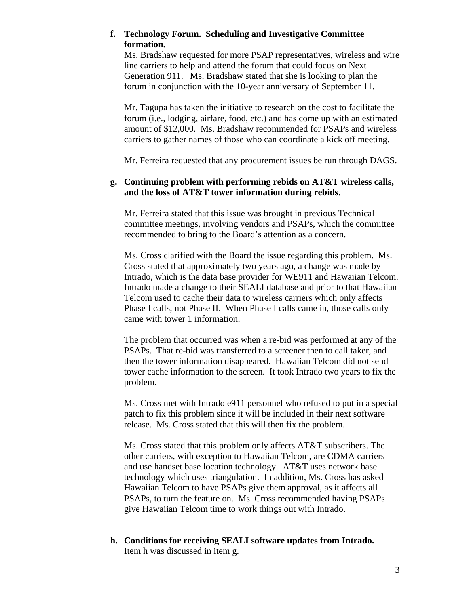### **f. Technology Forum. Scheduling and Investigative Committee formation.**

Ms. Bradshaw requested for more PSAP representatives, wireless and wire line carriers to help and attend the forum that could focus on Next Generation 911. Ms. Bradshaw stated that she is looking to plan the forum in conjunction with the 10-year anniversary of September 11.

Mr. Tagupa has taken the initiative to research on the cost to facilitate the forum (i.e., lodging, airfare, food, etc.) and has come up with an estimated amount of \$12,000. Ms. Bradshaw recommended for PSAPs and wireless carriers to gather names of those who can coordinate a kick off meeting.

Mr. Ferreira requested that any procurement issues be run through DAGS.

#### **g. Continuing problem with performing rebids on AT&T wireless calls, and the loss of AT&T tower information during rebids.**

Mr. Ferreira stated that this issue was brought in previous Technical committee meetings, involving vendors and PSAPs, which the committee recommended to bring to the Board's attention as a concern.

Ms. Cross clarified with the Board the issue regarding this problem. Ms. Cross stated that approximately two years ago, a change was made by Intrado, which is the data base provider for WE911 and Hawaiian Telcom. Intrado made a change to their SEALI database and prior to that Hawaiian Telcom used to cache their data to wireless carriers which only affects Phase I calls, not Phase II. When Phase I calls came in, those calls only came with tower 1 information.

The problem that occurred was when a re-bid was performed at any of the PSAPs. That re-bid was transferred to a screener then to call taker, and then the tower information disappeared. Hawaiian Telcom did not send tower cache information to the screen. It took Intrado two years to fix the problem.

Ms. Cross met with Intrado e911 personnel who refused to put in a special patch to fix this problem since it will be included in their next software release. Ms. Cross stated that this will then fix the problem.

Ms. Cross stated that this problem only affects AT&T subscribers. The other carriers, with exception to Hawaiian Telcom, are CDMA carriers and use handset base location technology. AT&T uses network base technology which uses triangulation. In addition, Ms. Cross has asked Hawaiian Telcom to have PSAPs give them approval, as it affects all PSAPs, to turn the feature on. Ms. Cross recommended having PSAPs give Hawaiian Telcom time to work things out with Intrado.

**h. Conditions for receiving SEALI software updates from Intrado.**  Item h was discussed in item g.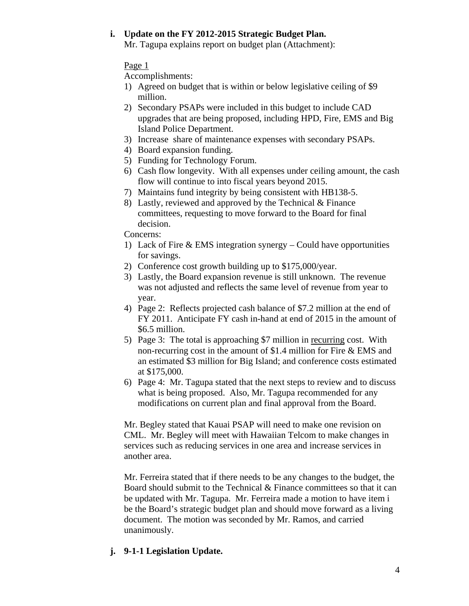### **i. Update on the FY 2012-2015 Strategic Budget Plan.**

Mr. Tagupa explains report on budget plan (Attachment):

### Page 1

Accomplishments:

- 1) Agreed on budget that is within or below legislative ceiling of \$9 million.
- 2) Secondary PSAPs were included in this budget to include CAD upgrades that are being proposed, including HPD, Fire, EMS and Big Island Police Department.
- 3) Increase share of maintenance expenses with secondary PSAPs.
- 4) Board expansion funding.
- 5) Funding for Technology Forum.
- 6) Cash flow longevity. With all expenses under ceiling amount, the cash flow will continue to into fiscal years beyond 2015.
- 7) Maintains fund integrity by being consistent with HB138-5.
- 8) Lastly, reviewed and approved by the Technical & Finance committees, requesting to move forward to the Board for final decision.

Concerns:

- 1) Lack of Fire & EMS integration synergy Could have opportunities for savings.
- 2) Conference cost growth building up to \$175,000/year.
- 3) Lastly, the Board expansion revenue is still unknown. The revenue was not adjusted and reflects the same level of revenue from year to year.
- 4) Page 2: Reflects projected cash balance of \$7.2 million at the end of FY 2011. Anticipate FY cash in-hand at end of 2015 in the amount of \$6.5 million.
- 5) Page 3: The total is approaching \$7 million in recurring cost. With non-recurring cost in the amount of \$1.4 million for Fire & EMS and an estimated \$3 million for Big Island; and conference costs estimated at \$175,000.
- 6) Page 4: Mr. Tagupa stated that the next steps to review and to discuss what is being proposed. Also, Mr. Tagupa recommended for any modifications on current plan and final approval from the Board.

Mr. Begley stated that Kauai PSAP will need to make one revision on CML. Mr. Begley will meet with Hawaiian Telcom to make changes in services such as reducing services in one area and increase services in another area.

Mr. Ferreira stated that if there needs to be any changes to the budget, the Board should submit to the Technical & Finance committees so that it can be updated with Mr. Tagupa. Mr. Ferreira made a motion to have item i be the Board's strategic budget plan and should move forward as a living document. The motion was seconded by Mr. Ramos, and carried unanimously.

### **j. 9-1-1 Legislation Update.**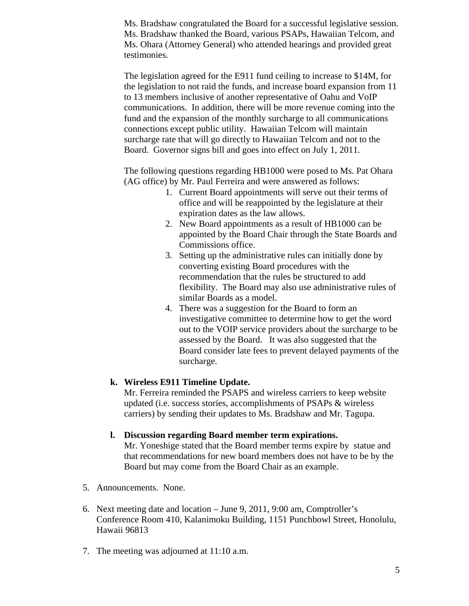Ms. Bradshaw congratulated the Board for a successful legislative session. Ms. Bradshaw thanked the Board, various PSAPs, Hawaiian Telcom, and Ms. Ohara (Attorney General) who attended hearings and provided great testimonies.

The legislation agreed for the E911 fund ceiling to increase to \$14M, for the legislation to not raid the funds, and increase board expansion from 11 to 13 members inclusive of another representative of Oahu and VoIP communications. In addition, there will be more revenue coming into the fund and the expansion of the monthly surcharge to all communications connections except public utility. Hawaiian Telcom will maintain surcharge rate that will go directly to Hawaiian Telcom and not to the Board. Governor signs bill and goes into effect on July 1, 2011.

The following questions regarding HB1000 were posed to Ms. Pat Ohara (AG office) by Mr. Paul Ferreira and were answered as follows:

- 1. Current Board appointments will serve out their terms of office and will be reappointed by the legislature at their expiration dates as the law allows.
- 2. New Board appointments as a result of HB1000 can be appointed by the Board Chair through the State Boards and Commissions office.
- 3. Setting up the administrative rules can initially done by converting existing Board procedures with the recommendation that the rules be structured to add flexibility. The Board may also use administrative rules of similar Boards as a model.
- 4. There was a suggestion for the Board to form an investigative committee to determine how to get the word out to the VOIP service providers about the surcharge to be assessed by the Board. It was also suggested that the Board consider late fees to prevent delayed payments of the surcharge.

#### **k. Wireless E911 Timeline Update.**

Mr. Ferreira reminded the PSAPS and wireless carriers to keep website updated (i.e. success stories, accomplishments of PSAPs & wireless carriers) by sending their updates to Ms. Bradshaw and Mr. Tagupa.

#### **l. Discussion regarding Board member term expirations.**

Mr. Yoneshige stated that the Board member terms expire by statue and that recommendations for new board members does not have to be by the Board but may come from the Board Chair as an example.

- 5. Announcements. None.
- 6. Next meeting date and location June 9, 2011, 9:00 am, Comptroller's Conference Room 410, Kalanimoku Building, 1151 Punchbowl Street, Honolulu, Hawaii 96813
- 7. The meeting was adjourned at 11:10 a.m.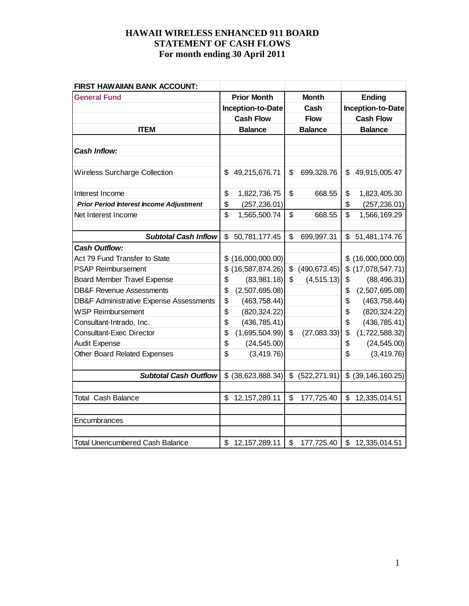| FIRST HAW AIIAN BANK ACCOUNT:                  |                |                    |    |                |                |                       |  |
|------------------------------------------------|----------------|--------------------|----|----------------|----------------|-----------------------|--|
| <b>General Fund</b>                            |                | <b>Prior Month</b> |    | <b>Month</b>   |                | <b>Ending</b>         |  |
|                                                |                | Inception-to-Date  |    | Cash           |                | Inception-to-Date     |  |
|                                                |                | <b>Cash Flow</b>   |    | <b>Flow</b>    |                | <b>Cash Flow</b>      |  |
| <b>ITEM</b>                                    | <b>Balance</b> |                    |    | <b>Balance</b> | <b>Balance</b> |                       |  |
|                                                |                |                    |    |                |                |                       |  |
| <b>Cash Inflow:</b>                            |                |                    |    |                |                |                       |  |
|                                                |                |                    |    |                |                |                       |  |
| <b>Wireless Surcharge Collection</b>           | \$             | 49,215,676.71      | \$ | 699,328.76     | \$             | 49,915,005.47         |  |
|                                                |                |                    |    |                |                |                       |  |
| Interest Income                                | \$             | 1,822,736.75       | \$ | 668.55         | \$             | 1,823,405.30          |  |
| <b>Prior Period Interest Income Adjustment</b> | \$             | (257, 236.01)      |    |                | \$             | (257, 236.01)         |  |
| Net Interest Income                            | \$             | 1,565,500.74       | \$ | 668.55         | \$             | 1,566,169.29          |  |
|                                                |                |                    |    |                |                |                       |  |
| <b>Subtotal Cash Inflow</b>                    | \$             | 50,781,177.45      | \$ | 699,997.31     | \$             | 51,481,174.76         |  |
| <b>Cash Outflow:</b>                           |                |                    |    |                |                |                       |  |
| Act 79 Fund Transfer to State                  | \$             | (16,000,000.00)    |    |                |                | \$(16,000,000.00)     |  |
| <b>PSAP Reimbursement</b>                      | \$             | (16, 587, 874.26)  | \$ | (490, 673.45)  |                | \$ (17,078,547.71)    |  |
| <b>Board Member Travel Expense</b>             | \$             | (83,981.18)        | \$ | (4, 515.13)    | \$             | (88, 496.31)          |  |
| <b>DB&amp;F Revenue Assessments</b>            | \$             | (2,507,695.08)     |    |                | \$             | (2,507,695.08)        |  |
| DB&F Administrative Expense Assessments        | \$             | (463, 758.44)      |    |                | \$             | (463, 758.44)         |  |
| <b>WSP Reimbursement</b>                       | \$             | (820, 324.22)      |    |                | \$             | (820, 324.22)         |  |
| Consultant-Intrado, Inc.                       | \$             | (436, 785.41)      |    |                | \$             | (436, 785.41)         |  |
| <b>Consultant-Exec Director</b>                | \$             | (1,695,504.99)     | \$ | (27,083.33)    | \$             | (1,722,588.32)        |  |
| <b>Audit Expense</b>                           | \$             | (24, 545.00)       |    |                | \$             | (24, 545.00)          |  |
| Other Board Related Expenses                   | \$             | (3,419.76)         |    |                | \$             | (3, 419.76)           |  |
|                                                |                |                    |    |                |                |                       |  |
| <b>Subtotal Cash Outflow</b>                   | \$             | (38, 623, 888.34)  | \$ | (522, 271.91)  |                | $$$ (39, 146, 160.25) |  |
|                                                |                |                    |    |                |                |                       |  |
| <b>Total Cash Balance</b>                      | \$             | 12, 157, 289. 11   | \$ | 177,725.40     | \$             | 12,335,014.51         |  |
|                                                |                |                    |    |                |                |                       |  |
| Encumbrances                                   |                |                    |    |                |                |                       |  |
|                                                |                |                    |    |                |                |                       |  |
| <b>Total Unencumbered Cash Balance</b>         | \$             | 12, 157, 289. 11   | \$ | 177,725.40     | $\mathfrak{S}$ | 12,335,014.51         |  |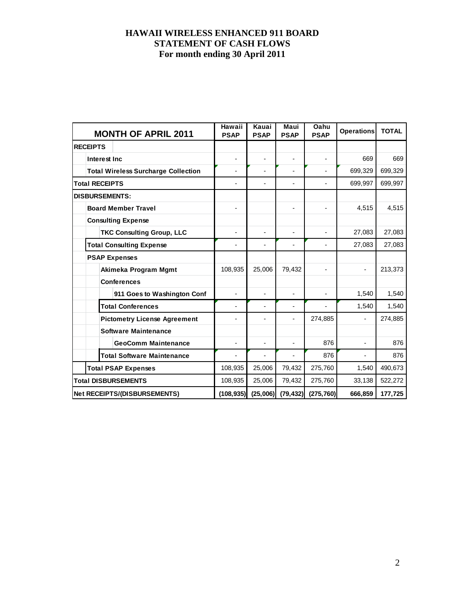| <b>MONTH OF APRIL 2011</b>                 | Hawaii<br><b>PSAP</b> | Kauai<br><b>PSAP</b> | Maui<br><b>PSAP</b>      | Oahu<br><b>PSAP</b>      | <b>Operations</b> | <b>TOTAL</b> |
|--------------------------------------------|-----------------------|----------------------|--------------------------|--------------------------|-------------------|--------------|
| <b>RECEIPTS</b>                            |                       |                      |                          |                          |                   |              |
| Interest Inc.                              |                       |                      | $\overline{a}$           |                          | 669               | 669          |
| <b>Total Wireless Surcharge Collection</b> | $\blacksquare$        |                      | $\blacksquare$           |                          | 699,329           | 699,329      |
| <b>Total RECEIPTS</b>                      | $\blacksquare$        |                      |                          |                          | 699,997           | 699,997      |
| <b>DISBURSEMENTS:</b>                      |                       |                      |                          |                          |                   |              |
| <b>Board Member Travel</b>                 |                       |                      | $\overline{a}$           |                          | 4,515             | 4,515        |
| <b>Consulting Expense</b>                  |                       |                      |                          |                          |                   |              |
| <b>TKC Consulting Group, LLC</b>           |                       |                      |                          |                          | 27,083            | 27,083       |
| <b>Total Consulting Expense</b>            |                       |                      |                          |                          | 27,083            | 27,083       |
| <b>PSAP Expenses</b>                       |                       |                      |                          |                          |                   |              |
| Akimeka Program Mgmt                       | 108,935               | 25,006               | 79,432                   |                          |                   | 213,373      |
| <b>Conferences</b>                         |                       |                      |                          |                          |                   |              |
| 911 Goes to Washington Conf                | ÷                     | $\blacksquare$       | $\overline{\phantom{0}}$ | $\overline{\phantom{a}}$ | 1,540             | 1,540        |
| <b>Total Conferences</b>                   | ÷,                    |                      | $\overline{a}$           |                          | 1,540             | 1,540        |
| <b>Pictometry License Agreement</b>        |                       |                      |                          | 274,885                  |                   | 274,885      |
| <b>Software Maintenance</b>                |                       |                      |                          |                          |                   |              |
| <b>GeoComm Maintenance</b>                 | $\overline{a}$        | ä,                   | $\overline{a}$           | 876                      |                   | 876          |
| <b>Total Software Maintenance</b>          |                       |                      |                          | 876                      |                   | 876          |
| <b>Total PSAP Expenses</b>                 | 108,935               | 25,006               | 79,432                   | 275,760                  | 1,540             | 490,673      |
| <b>Total DISBURSEMENTS</b>                 | 108,935               | 25,006               | 79,432                   | 275,760                  | 33,138            | 522,272      |
| <b>Net RECEIPTS/(DISBURSEMENTS)</b>        | (108, 935)            | (25,006)             | (79, 432)                | (275, 760)               | 666,859           | 177,725      |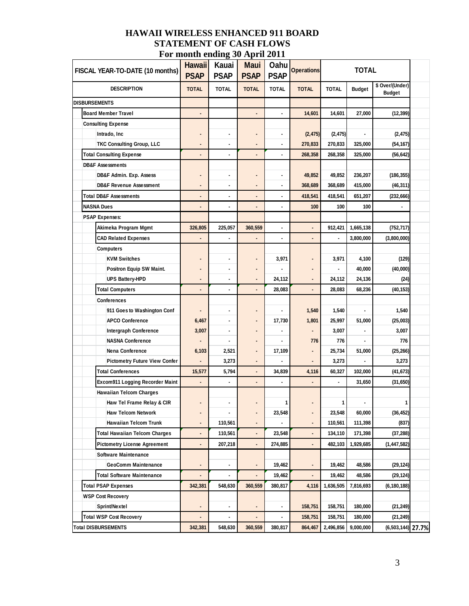|                        | FISCAL YEAR-TO-DATE (10 months)      | <b>Hawaii</b><br><b>PSAP</b>    | Kauai<br><b>PSAP</b> | <b>Maui</b><br><b>PSAP</b> | Oahu<br><b>PSAP</b> | <b>Operations</b> | <b>TOTAL</b>                    |                      |                                  |  |
|------------------------|--------------------------------------|---------------------------------|----------------------|----------------------------|---------------------|-------------------|---------------------------------|----------------------|----------------------------------|--|
|                        | <b>DESCRIPTION</b>                   | <b>TOTAL</b>                    | <b>TOTAL</b>         | <b>TOTAL</b>               | <b>TOTAL</b>        | <b>TOTAL</b>      | <b>TOTAL</b>                    | <b>Budget</b>        | \$ Over/(Under)<br><b>Budget</b> |  |
|                        | <b>DISBURSEMENTS</b>                 |                                 |                      |                            |                     |                   |                                 |                      |                                  |  |
|                        | <b>Board Member Travel</b>           |                                 |                      |                            |                     | 14,601            | 14,601                          | 27,000               | (12, 399)                        |  |
|                        | <b>Consulting Expense</b>            |                                 |                      |                            |                     |                   |                                 |                      |                                  |  |
|                        | Intrado, Inc                         |                                 |                      |                            | ٠                   | (2, 475)          | (2, 475)                        |                      | (2, 475)                         |  |
|                        | <b>TKC Consulting Group, LLC</b>     |                                 |                      |                            |                     | 270,833           | 270,833                         | 325,000<br>(54, 167) |                                  |  |
|                        | <b>Total Consulting Expense</b>      |                                 |                      |                            | ä,                  | 268,358           | 268,358<br>325,000<br>(56, 642) |                      |                                  |  |
|                        | <b>DB&amp;F Assessments</b>          |                                 |                      |                            |                     |                   |                                 |                      |                                  |  |
|                        | DB&F Admin. Exp. Assess              |                                 |                      |                            | ٠                   | 49,852            | 49,852                          | 236,207              | (186, 355)                       |  |
|                        | <b>DB&amp;F Revenue Assessment</b>   |                                 |                      |                            |                     | 368,689           | 368,689                         | 415,000              | (46, 311)                        |  |
|                        | <b>Total DB&amp;F Assessments</b>    |                                 |                      |                            |                     | 418,541           | 418,541                         | 651,207              | (232, 666)                       |  |
|                        | <b>NASNA Dues</b>                    | $\centering \label{eq:reduced}$ | ٠                    | ÷                          | ٠                   | 100               | 100                             | 100                  | ٠                                |  |
|                        | <b>PSAP Expenses:</b>                |                                 |                      |                            |                     |                   |                                 |                      |                                  |  |
|                        | Akimeka Program Mgmt                 | 326,805                         | 225,057              | 360,559                    |                     |                   | 912,421                         | 1,665,138            | (752, 717)                       |  |
|                        | <b>CAD Related Expenses</b>          |                                 |                      |                            | ۰                   |                   |                                 | 3,800,000            | (3,800,000)                      |  |
|                        | <b>Computers</b>                     |                                 |                      |                            |                     |                   |                                 |                      |                                  |  |
|                        | <b>KVM Switches</b>                  |                                 |                      |                            | 3,971               |                   | 3,971                           | 4,100                | (129)                            |  |
|                        | Positron Equip SW Maint.             |                                 | ٠                    |                            |                     |                   |                                 | 40,000               | (40,000)                         |  |
|                        | <b>UPS Battery-HPD</b>               |                                 |                      |                            | 24,112              |                   | 24,112                          | 24,136               | (24)                             |  |
| <b>Total Computers</b> |                                      | ٠                               | ٠                    |                            | 28,083              | ä,                | 28,083                          | 68,236               | (40, 153)                        |  |
|                        | <b>Conferences</b>                   |                                 |                      |                            |                     |                   |                                 |                      |                                  |  |
|                        | 911 Goes to Washington Conf          |                                 | ٠                    |                            |                     | 1,540             | 1,540                           |                      | 1,540                            |  |
|                        | <b>APCO Conference</b>               | 6,467                           | ۰                    |                            | 17,730              | 1,801             | 25,997                          | 51,000               | (25,003)                         |  |
|                        | <b>Intergraph Conference</b>         | 3,007                           | ٠                    |                            |                     |                   | 3,007                           |                      | 3,007                            |  |
|                        | <b>NASNA Conference</b>              |                                 |                      |                            |                     | 776               | 776                             |                      | 776                              |  |
|                        | Nena Conference                      | 6,103                           | 2,521                |                            | 17,109              | ٠                 | 25,734                          | 51,000               | (25, 266)                        |  |
|                        | Pictometry Future View Confer        |                                 | 3,273                |                            |                     |                   | 3,273                           |                      | 3,273                            |  |
|                        | <b>Total Conferences</b>             | 15,577                          | 5,794                | ٠                          | 34,839              | 4,116             | 60,327                          | 102,000              | (41, 673)                        |  |
|                        | Excom911 Logging Recorder Maint      |                                 |                      | ä,                         |                     |                   |                                 | 31,650               | (31, 650)                        |  |
|                        | <b>Hawaiian Telcom Charges</b>       |                                 |                      |                            |                     |                   |                                 |                      |                                  |  |
|                        | Haw Tel Frame Relay & CIR            |                                 | ۰                    | ٠                          | 1                   | ٠                 | 1                               | ۰                    | 1                                |  |
|                        | Haw Telcom Network                   |                                 | ٠                    |                            | 23,548              |                   | 23,548                          | 60,000               | (36, 452)                        |  |
|                        | <b>Hawaiian Telcom Trunk</b>         |                                 | 110,561              |                            |                     | ٠                 | 110,561                         | 111,398              | (837)                            |  |
|                        | <b>Total Hawaiian Telcom Charges</b> | ٠                               | 110,561              | ٠                          | 23,548              | ٠                 | 134,110                         | 171,398              | (37, 288)                        |  |
|                        | <b>Pictometry License Agreement</b>  | $\qquad \qquad \blacksquare$    | 207,218              | ۰                          | 274,885             | ٠                 | 482,103                         | 1,929,685            | (1, 447, 582)                    |  |
|                        | <b>Software Maintenance</b>          |                                 |                      |                            |                     |                   |                                 |                      |                                  |  |
| GeoComm Maintenance    |                                      |                                 | ٠                    |                            | 19,462              | ٠                 | 19,462                          | 48,586               | (29, 124)                        |  |
|                        | <b>Total Software Maintenance</b>    |                                 |                      | ä,                         | 19,462              | ÷                 | 19,462                          | 48,586               | (29, 124)                        |  |
|                        | <b>Total PSAP Expenses</b>           | 342,381                         | 548,630              | 360,559                    | 380,817             | 4,116             | 1,636,505                       | 7,816,693            | (6, 180, 188)                    |  |
|                        | <b>WSP Cost Recovery</b>             |                                 |                      |                            |                     |                   |                                 |                      |                                  |  |
|                        | Sprint/Nextel                        |                                 | ٠                    |                            |                     | 158,751           | 158,751                         | 180,000              | (21, 249)                        |  |
|                        | Total WSP Cost Recovery              |                                 |                      |                            |                     | 158,751           | 158,751                         | 180,000              | (21, 249)                        |  |
|                        | <b>Total DISBURSEMENTS</b>           | 342,381                         | 548,630              | 360,559                    | 380,817             | 864,467           | 2,496,856                       | 9,000,000            | (6,503,144) 27.7%                |  |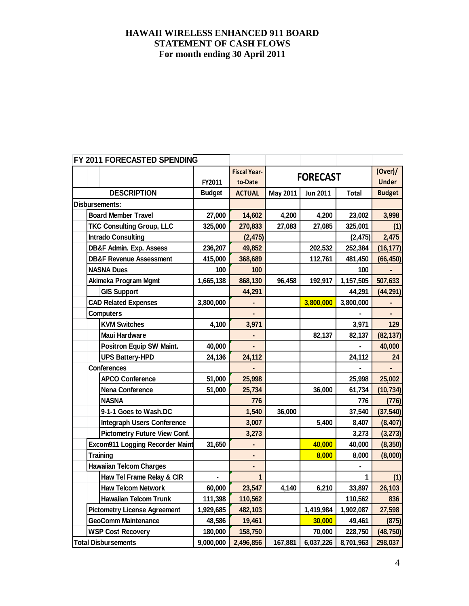| FY 2011 FORECASTED SPENDING |                  |                                        |                |                     |          |                 |              |               |
|-----------------------------|------------------|----------------------------------------|----------------|---------------------|----------|-----------------|--------------|---------------|
|                             |                  |                                        |                | <b>Fiscal Year-</b> |          | <b>FORECAST</b> |              | (Over) /      |
|                             |                  |                                        | FY2011         | to-Date             |          |                 |              | <b>Under</b>  |
|                             |                  | <b>DESCRIPTION</b>                     | <b>Budget</b>  | <b>ACTUAL</b>       | May 2011 | Jun 2011        | <b>Total</b> | <b>Budget</b> |
|                             |                  | <b>Disbursements:</b>                  |                |                     |          |                 |              |               |
|                             |                  | <b>Board Member Travel</b>             | 27,000         | 14,602              | 4,200    | 4,200           | 23,002       | 3,998         |
|                             |                  | <b>TKC Consulting Group, LLC</b>       | 325,000        | 270,833             | 27,083   | 27,085          | 325,001      | (1)           |
|                             |                  | <b>Intrado Consulting</b>              |                | (2, 475)            |          |                 | (2, 475)     | 2,475         |
|                             |                  | <b>DB&amp;F Admin. Exp. Assess</b>     | 236,207        | 49,852              |          | 202,532         | 252,384      | (16, 177)     |
|                             |                  | <b>DB&amp;F Revenue Assessment</b>     | 415,000        | 368,689             |          | 112,761         | 481,450      | (66, 450)     |
|                             |                  | <b>NASNA Dues</b>                      | 100            | 100                 |          |                 | 100          |               |
|                             |                  | Akimeka Program Mgmt                   | 1,665,138      | 868,130             | 96,458   | 192,917         | 1,157,505    | 507,633       |
|                             |                  | <b>GIS Support</b>                     |                | 44,291              |          |                 | 44,291       | (44, 291)     |
|                             |                  | <b>CAD Related Expenses</b>            | 3,800,000      |                     |          | 3,800,000       | 3,800,000    |               |
|                             | <b>Computers</b> |                                        |                | ۰                   |          |                 |              | ٠             |
|                             |                  | <b>KVM Switches</b>                    | 4,100          | 3,971               |          |                 | 3,971        | 129           |
|                             |                  | <b>Maui Hardware</b>                   |                |                     |          | 82,137          | 82,137       | (82, 137)     |
|                             |                  | <b>Positron Equip SW Maint.</b>        | 40,000         | ä,                  |          |                 |              | 40,000        |
|                             |                  | <b>UPS Battery-HPD</b>                 | 24,136         | 24,112              |          |                 | 24,112       | 24            |
|                             |                  | <b>Conferences</b>                     |                |                     |          |                 |              |               |
|                             |                  | <b>APCO Conference</b>                 | 51,000         | 25,998              |          |                 | 25,998       | 25,002        |
|                             |                  | <b>Nena Conference</b>                 | 51,000         | 25,734              |          | 36,000          | 61,734       | (10, 734)     |
|                             |                  | <b>NASNA</b>                           |                | 776                 |          |                 | 776          | (776)         |
|                             |                  | 9-1-1 Goes to Wash.DC                  |                | 1,540               | 36,000   |                 | 37,540       | (37, 540)     |
|                             |                  | <b>Integraph Users Conference</b>      |                | 3,007               |          | 5,400           | 8,407        | (8, 407)      |
|                             |                  | <b>Pictometry Future View Conf.</b>    |                | 3,273               |          |                 | 3,273        | (3, 273)      |
|                             |                  | <b>Excom911 Logging Recorder Maint</b> | 31,650         | ۰                   |          | 40,000          | 40,000       | (8, 350)      |
|                             |                  | <b>Training</b>                        |                | ٠                   |          | 8,000           | 8,000        | (8,000)       |
|                             |                  | <b>Hawaiian Telcom Charges</b>         |                | ۰                   |          |                 |              |               |
|                             |                  | Haw Tel Frame Relay & CIR              | $\blacksquare$ | $\mathbf{1}$        |          |                 | 1            | (1)           |
|                             |                  | <b>Haw Telcom Network</b>              | 60,000         | 23,547              | 4,140    | 6,210           | 33,897       | 26,103        |
|                             |                  | <b>Hawaiian Telcom Trunk</b>           | 111,398        | 110,562             |          |                 | 110,562      | 836           |
|                             |                  | <b>Pictometry License Agreement</b>    | 1,929,685      | 482,103             |          | 1,419,984       | 1,902,087    | 27,598        |
|                             |                  | <b>GeoComm Maintenance</b>             | 48,586         | 19,461              |          | 30,000          | 49,461       | (875)         |
|                             |                  | <b>WSP Cost Recovery</b>               | 180,000        | 158,750             |          | 70,000          | 228,750      | (48, 750)     |
|                             |                  | <b>Total Disbursements</b>             | 9,000,000      | 2,496,856           | 167,881  | 6,037,226       | 8,701,963    | 298,037       |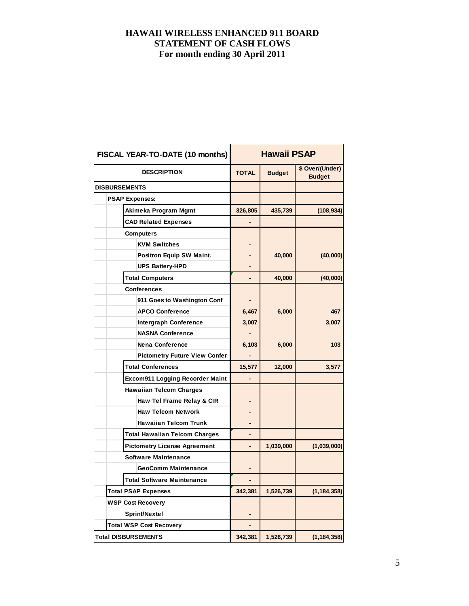|  | FISCAL YEAR-TO-DATE (10 months)      | <b>Hawaii PSAP</b> |               |                                  |  |  |
|--|--------------------------------------|--------------------|---------------|----------------------------------|--|--|
|  | <b>DESCRIPTION</b>                   | <b>TOTAL</b>       | <b>Budget</b> | \$ Over/(Under)<br><b>Budget</b> |  |  |
|  | <b>DISBURSEMENTS</b>                 |                    |               |                                  |  |  |
|  | <b>PSAP Expenses:</b>                |                    |               |                                  |  |  |
|  | Akimeka Program Mgmt                 | 326,805            | 435,739       | (108, 934)                       |  |  |
|  | <b>CAD Related Expenses</b>          |                    |               |                                  |  |  |
|  | <b>Computers</b>                     |                    |               |                                  |  |  |
|  | <b>KVM Switches</b>                  |                    |               |                                  |  |  |
|  | <b>Positron Equip SW Maint.</b>      |                    | 40,000        | (40,000)                         |  |  |
|  | <b>UPS Battery-HPD</b>               |                    |               |                                  |  |  |
|  | <b>Total Computers</b>               |                    | 40,000        | (40,000)                         |  |  |
|  | <b>Conferences</b>                   |                    |               |                                  |  |  |
|  | 911 Goes to Washington Conf          |                    |               |                                  |  |  |
|  | <b>APCO Conference</b>               | 6,467              | 6,000         | 467                              |  |  |
|  | <b>Intergraph Conference</b>         | 3,007              |               | 3,007                            |  |  |
|  | <b>NASNA Conference</b>              |                    |               |                                  |  |  |
|  | <b>Nena Conference</b>               | 6,103              | 6,000         | 103                              |  |  |
|  | <b>Pictometry Future View Confer</b> |                    |               |                                  |  |  |
|  | <b>Total Conferences</b>             | 15,577             | 12,000        | 3,577                            |  |  |
|  | Excom911 Logging Recorder Maint      |                    |               |                                  |  |  |
|  | <b>Hawaiian Telcom Charges</b>       |                    |               |                                  |  |  |
|  | Haw Tel Frame Relay & CIR            |                    |               |                                  |  |  |
|  | <b>Haw Telcom Network</b>            |                    |               |                                  |  |  |
|  | <b>Hawaiian Telcom Trunk</b>         |                    |               |                                  |  |  |
|  | <b>Total Hawaiian Telcom Charges</b> |                    |               |                                  |  |  |
|  | <b>Pictometry License Agreement</b>  |                    | 1,039,000     | (1,039,000)                      |  |  |
|  | <b>Software Maintenance</b>          |                    |               |                                  |  |  |
|  | <b>GeoComm Maintenance</b>           |                    |               |                                  |  |  |
|  | <b>Total Software Maintenance</b>    |                    |               |                                  |  |  |
|  | <b>Total PSAP Expenses</b>           | 342,381            | 1,526,739     | (1, 184, 358)                    |  |  |
|  | <b>WSP Cost Recovery</b>             |                    |               |                                  |  |  |
|  | Sprint/Nextel                        |                    |               |                                  |  |  |
|  | <b>Total WSP Cost Recovery</b>       |                    |               |                                  |  |  |
|  | <b>Total DISBURSEMENTS</b>           | 342,381            | 1,526,739     | (1, 184, 358)                    |  |  |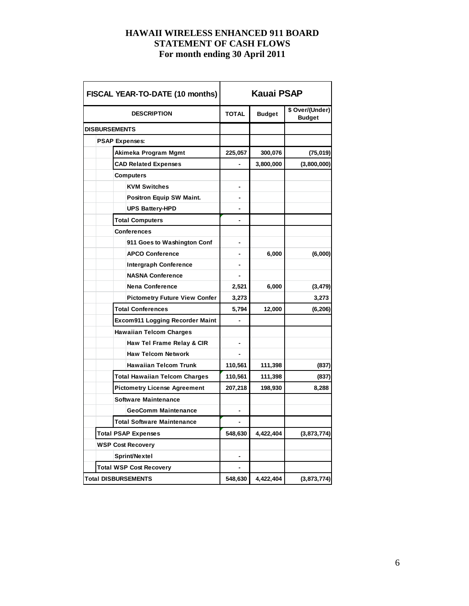| FISCAL YEAR-TO-DATE (10 months)        | <b>Kauai PSAP</b> |               |                                  |  |  |  |
|----------------------------------------|-------------------|---------------|----------------------------------|--|--|--|
| <b>DESCRIPTION</b>                     | <b>TOTAL</b>      | <b>Budget</b> | \$ Over/(Under)<br><b>Budget</b> |  |  |  |
| <b>DISBURSEMENTS</b>                   |                   |               |                                  |  |  |  |
| <b>PSAP Expenses:</b>                  |                   |               |                                  |  |  |  |
| Akimeka Program Mgmt                   | 225,057           | 300,076       | (75, 019)                        |  |  |  |
| <b>CAD Related Expenses</b>            |                   | 3,800,000     | (3,800,000)                      |  |  |  |
| <b>Computers</b>                       |                   |               |                                  |  |  |  |
| <b>KVM Switches</b>                    |                   |               |                                  |  |  |  |
| Positron Equip SW Maint.               | $\blacksquare$    |               |                                  |  |  |  |
| <b>UPS Battery-HPD</b>                 |                   |               |                                  |  |  |  |
| <b>Total Computers</b>                 |                   |               |                                  |  |  |  |
| <b>Conferences</b>                     |                   |               |                                  |  |  |  |
| 911 Goes to Washington Conf            |                   |               |                                  |  |  |  |
| <b>APCO Conference</b>                 | $\blacksquare$    | 6,000         | (6,000)                          |  |  |  |
| <b>Intergraph Conference</b>           |                   |               |                                  |  |  |  |
| <b>NASNA Conference</b>                |                   |               |                                  |  |  |  |
| <b>Nena Conference</b>                 | 2,521             | 6,000         | (3, 479)                         |  |  |  |
| <b>Pictometry Future View Confer</b>   | 3,273             |               | 3,273                            |  |  |  |
| <b>Total Conferences</b>               | 5,794             | 12,000        | (6, 206)                         |  |  |  |
| <b>Excom911 Logging Recorder Maint</b> | $\overline{a}$    |               |                                  |  |  |  |
| <b>Hawaiian Telcom Charges</b>         |                   |               |                                  |  |  |  |
| Haw Tel Frame Relay & CIR              |                   |               |                                  |  |  |  |
| <b>Haw Telcom Network</b>              |                   |               |                                  |  |  |  |
| <b>Hawaiian Telcom Trunk</b>           | 110,561           | 111,398       | (837)                            |  |  |  |
| <b>Total Hawaiian Telcom Charges</b>   | 110,561           | 111,398       | (837)                            |  |  |  |
| <b>Pictometry License Agreement</b>    | 207,218           | 198,930       | 8,288                            |  |  |  |
| <b>Software Maintenance</b>            |                   |               |                                  |  |  |  |
| <b>GeoComm Maintenance</b>             |                   |               |                                  |  |  |  |
| <b>Total Software Maintenance</b>      |                   |               |                                  |  |  |  |
| <b>Total PSAP Expenses</b>             | 548,630           | 4,422,404     | (3,873,774)                      |  |  |  |
| <b>WSP Cost Recovery</b>               |                   |               |                                  |  |  |  |
| Sprint/Nextel                          |                   |               |                                  |  |  |  |
| <b>Total WSP Cost Recovery</b>         |                   |               |                                  |  |  |  |
| <b>Total DISBURSEMENTS</b>             | 548,630           | 4,422,404     | (3,873,774)                      |  |  |  |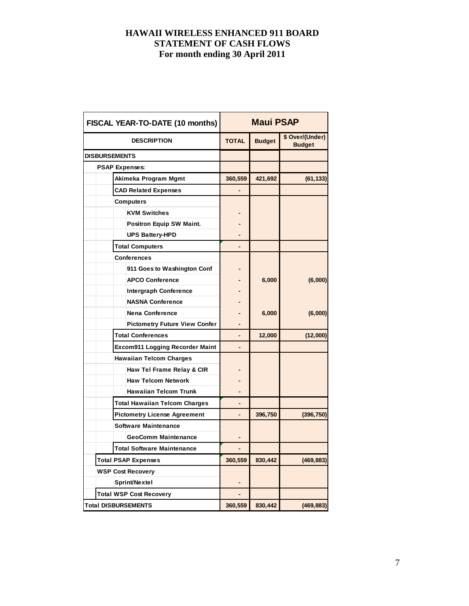| FISCAL YEAR-TO-DATE (10 months)      | <b>Maui PSAP</b> |               |                                  |  |  |
|--------------------------------------|------------------|---------------|----------------------------------|--|--|
| <b>DESCRIPTION</b>                   | <b>TOTAL</b>     | <b>Budget</b> | \$ Over/(Under)<br><b>Budget</b> |  |  |
| <b>DISBURSEMENTS</b>                 |                  |               |                                  |  |  |
| <b>PSAP Expenses:</b>                |                  |               |                                  |  |  |
| Akimeka Program Mgmt                 | 360,559          | 421,692       | (61, 133)                        |  |  |
| <b>CAD Related Expenses</b>          |                  |               |                                  |  |  |
| <b>Computers</b>                     |                  |               |                                  |  |  |
| <b>KVM Switches</b>                  |                  |               |                                  |  |  |
| <b>Positron Equip SW Maint.</b>      |                  |               |                                  |  |  |
| <b>UPS Battery-HPD</b>               |                  |               |                                  |  |  |
| <b>Total Computers</b>               |                  |               |                                  |  |  |
| <b>Conferences</b>                   |                  |               |                                  |  |  |
| 911 Goes to Washington Conf          |                  |               |                                  |  |  |
| <b>APCO Conference</b>               |                  | 6,000         | (6,000)                          |  |  |
| <b>Intergraph Conference</b>         |                  |               |                                  |  |  |
| <b>NASNA Conference</b>              |                  |               |                                  |  |  |
| <b>Nena Conference</b>               |                  | 6,000         | (6,000)                          |  |  |
| <b>Pictometry Future View Confer</b> |                  |               |                                  |  |  |
| <b>Total Conferences</b>             |                  | 12,000        | (12,000)                         |  |  |
| Excom911 Logging Recorder Maint      |                  |               |                                  |  |  |
| <b>Hawaiian Telcom Charges</b>       |                  |               |                                  |  |  |
| Haw Tel Frame Relay & CIR            |                  |               |                                  |  |  |
| <b>Haw Telcom Network</b>            |                  |               |                                  |  |  |
| <b>Hawaiian Telcom Trunk</b>         |                  |               |                                  |  |  |
| <b>Total Hawaiian Telcom Charges</b> |                  |               |                                  |  |  |
| <b>Pictometry License Agreement</b>  |                  | 396,750       | (396, 750)                       |  |  |
| <b>Software Maintenance</b>          |                  |               |                                  |  |  |
| <b>GeoComm Maintenance</b>           |                  |               |                                  |  |  |
| <b>Total Software Maintenance</b>    |                  |               |                                  |  |  |
| <b>Total PSAP Expenses</b>           | 360,559          | 830,442       | (469, 883)                       |  |  |
| <b>WSP Cost Recovery</b>             |                  |               |                                  |  |  |
| Sprint/Nextel                        |                  |               |                                  |  |  |
| <b>Total WSP Cost Recovery</b>       |                  |               |                                  |  |  |
| <b>Total DISBURSEMENTS</b>           | 360,559          | 830,442       | (469, 883)                       |  |  |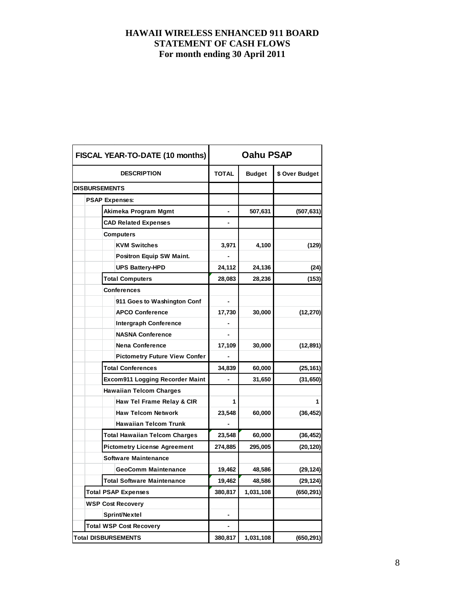|  | FISCAL YEAR-TO-DATE (10 months)      | Oahu PSAP    |               |                |  |  |
|--|--------------------------------------|--------------|---------------|----------------|--|--|
|  | <b>DESCRIPTION</b>                   | <b>TOTAL</b> | <b>Budget</b> | \$ Over Budget |  |  |
|  | <b>DISBURSEMENTS</b>                 |              |               |                |  |  |
|  | <b>PSAP Expenses:</b>                |              |               |                |  |  |
|  | Akimeka Program Mgmt                 |              | 507,631       | (507, 631)     |  |  |
|  | <b>CAD Related Expenses</b>          |              |               |                |  |  |
|  | <b>Computers</b>                     |              |               |                |  |  |
|  | <b>KVM Switches</b>                  | 3,971        | 4,100         | (129)          |  |  |
|  | <b>Positron Equip SW Maint.</b>      |              |               |                |  |  |
|  | <b>UPS Battery-HPD</b>               | 24,112       | 24,136        | (24)           |  |  |
|  | <b>Total Computers</b>               | 28,083       | 28,236        | (153)          |  |  |
|  | <b>Conferences</b>                   |              |               |                |  |  |
|  | 911 Goes to Washington Conf          |              |               |                |  |  |
|  | <b>APCO Conference</b>               | 17,730       | 30,000        | (12, 270)      |  |  |
|  | <b>Intergraph Conference</b>         |              |               |                |  |  |
|  | <b>NASNA Conference</b>              |              |               |                |  |  |
|  | <b>Nena Conference</b>               | 17,109       | 30,000        | (12, 891)      |  |  |
|  | <b>Pictometry Future View Confer</b> |              |               |                |  |  |
|  | <b>Total Conferences</b>             | 34,839       | 60,000        | (25, 161)      |  |  |
|  | Excom911 Logging Recorder Maint      | -            | 31,650        | (31, 650)      |  |  |
|  | <b>Hawaiian Telcom Charges</b>       |              |               |                |  |  |
|  | Haw Tel Frame Relay & CIR            | 1            |               | 1              |  |  |
|  | <b>Haw Telcom Network</b>            | 23,548       | 60,000        | (36, 452)      |  |  |
|  | <b>Hawaiian Telcom Trunk</b>         |              |               |                |  |  |
|  | <b>Total Hawaiian Telcom Charges</b> | 23,548       | 60,000        | (36, 452)      |  |  |
|  | <b>Pictometry License Agreement</b>  | 274,885      | 295,005       | (20,120)       |  |  |
|  | <b>Software Maintenance</b>          |              |               |                |  |  |
|  | <b>GeoComm Maintenance</b>           | 19,462       | 48,586        | (29, 124)      |  |  |
|  | <b>Total Software Maintenance</b>    | 19,462       | 48,586        | (29, 124)      |  |  |
|  | <b>Total PSAP Expenses</b>           | 380,817      | 1,031,108     | (650, 291)     |  |  |
|  | <b>WSP Cost Recovery</b>             |              |               |                |  |  |
|  | Sprint/Nextel                        |              |               |                |  |  |
|  | <b>Total WSP Cost Recovery</b>       |              |               |                |  |  |
|  | <b>Total DISBURSEMENTS</b>           | 380,817      | 1,031,108     | (650, 291)     |  |  |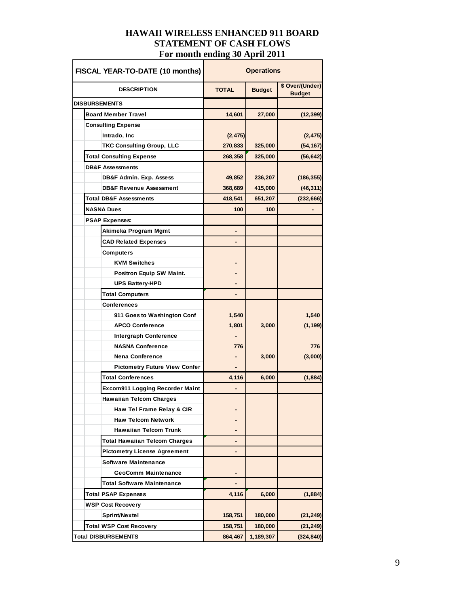| FISCAL YEAR-TO-DATE (10 months)        | <b>Operations</b> |               |                                  |  |
|----------------------------------------|-------------------|---------------|----------------------------------|--|
| <b>DESCRIPTION</b>                     | <b>TOTAL</b>      | <b>Budget</b> | \$ Over/(Under)<br><b>Budget</b> |  |
| <b>DISBURSEMENTS</b>                   |                   |               |                                  |  |
| <b>Board Member Travel</b>             | 14,601            | 27,000        | (12, 399)                        |  |
| <b>Consulting Expense</b>              |                   |               |                                  |  |
| Intrado, Inc                           | (2, 475)          |               | (2, 475)                         |  |
| <b>TKC Consulting Group, LLC</b>       | 270,833           | 325,000       | (54, 167)                        |  |
| <b>Total Consulting Expense</b>        | 268,358           | 325,000       | (56, 642)                        |  |
| <b>DB&amp;F Assessments</b>            |                   |               |                                  |  |
| DB&F Admin. Exp. Assess                | 49,852            | 236,207       | (186, 355)                       |  |
| <b>DB&amp;F Revenue Assessment</b>     | 368,689           | 415,000       | (46, 311)                        |  |
| <b>Total DB&amp;F Assessments</b>      | 418,541           | 651,207       | (232, 666)                       |  |
| <b>NASNA Dues</b>                      | 100               | 100           |                                  |  |
| <b>PSAP Expenses:</b>                  |                   |               |                                  |  |
| Akimeka Program Mgmt                   |                   |               |                                  |  |
| <b>CAD Related Expenses</b>            |                   |               |                                  |  |
| <b>Computers</b>                       |                   |               |                                  |  |
| <b>KVM Switches</b>                    |                   |               |                                  |  |
| Positron Equip SW Maint.               |                   |               |                                  |  |
| <b>UPS Battery-HPD</b>                 |                   |               |                                  |  |
| <b>Total Computers</b>                 | ٠                 |               |                                  |  |
| <b>Conferences</b>                     |                   |               |                                  |  |
| 911 Goes to Washington Conf            | 1,540             |               | 1,540                            |  |
| <b>APCO Conference</b>                 | 1,801             | 3,000         | (1, 199)                         |  |
| <b>Intergraph Conference</b>           |                   |               |                                  |  |
| <b>NASNA Conference</b>                | 776               |               | 776                              |  |
| <b>Nena Conference</b>                 |                   | 3,000         | (3,000)                          |  |
| <b>Pictometry Future View Confer</b>   |                   |               |                                  |  |
| <b>Total Conferences</b>               | 4,116             | 6,000         | (1, 884)                         |  |
| <b>Excom911 Logging Recorder Maint</b> |                   |               |                                  |  |
| <b>Hawaiian Telcom Charges</b>         |                   |               |                                  |  |
| Haw Tel Frame Relay & CIR              |                   |               |                                  |  |
| <b>Haw Telcom Network</b>              |                   |               |                                  |  |
| <b>Hawaiian Telcom Trunk</b>           |                   |               |                                  |  |
| Total Hawaiian Telcom Charges          |                   |               |                                  |  |
| <b>Pictometry License Agreement</b>    |                   |               |                                  |  |
| Software Maintenance                   |                   |               |                                  |  |
| <b>GeoComm Maintenance</b>             |                   |               |                                  |  |
| <b>Total Software Maintenance</b>      |                   |               |                                  |  |
| <b>Total PSAP Expenses</b>             | 4,116             | 6,000         | (1, 884)                         |  |
| <b>WSP Cost Recovery</b>               |                   |               |                                  |  |
| Sprint/Nextel                          | 158,751           | 180,000       | (21, 249)                        |  |
| <b>Total WSP Cost Recovery</b>         | 158,751           | 180,000       | (21, 249)                        |  |
| <b>Total DISBURSEMENTS</b>             | 864,467           | 1,189,307     | (324, 840)                       |  |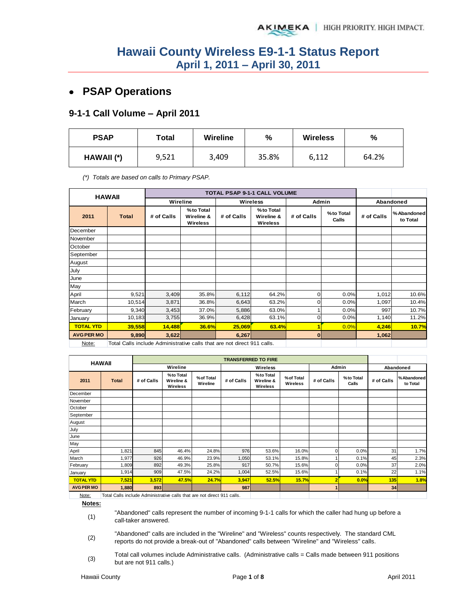## **PSAP Operations**

#### **9-1-1 Call Volume – April 2011**

| <b>PSAP</b> | Total | <b>Wireline</b> | %     | <b>Wireless</b> | %     |  |
|-------------|-------|-----------------|-------|-----------------|-------|--|
| HAWAII (*)  | 9,521 | 3,409           | 35.8% | 6,112           | 64.2% |  |

*(\*) Totals are based on calls to Primary PSAP.* 

|                   | <b>HAWAII</b>                                                           |            |                                     |            | TOTAL PSAP 9-1-1 CALL VOLUME               |                |                    |            |                         |  |
|-------------------|-------------------------------------------------------------------------|------------|-------------------------------------|------------|--------------------------------------------|----------------|--------------------|------------|-------------------------|--|
|                   |                                                                         | Wireline   |                                     |            | <b>Wireless</b>                            | Admin          |                    | Abandoned  |                         |  |
| 2011              | <b>Total</b>                                                            | # of Calls | %to Total<br>Wireline &<br>Wireless | # of Calls | %to Total<br>Wireline &<br><b>Wireless</b> | # of Calls     | %to Total<br>Calls | # of Calls | % Abandoned<br>to Total |  |
| December          |                                                                         |            |                                     |            |                                            |                |                    |            |                         |  |
| November          |                                                                         |            |                                     |            |                                            |                |                    |            |                         |  |
| October           |                                                                         |            |                                     |            |                                            |                |                    |            |                         |  |
| September         |                                                                         |            |                                     |            |                                            |                |                    |            |                         |  |
| August            |                                                                         |            |                                     |            |                                            |                |                    |            |                         |  |
| July              |                                                                         |            |                                     |            |                                            |                |                    |            |                         |  |
| June              |                                                                         |            |                                     |            |                                            |                |                    |            |                         |  |
| May               |                                                                         |            |                                     |            |                                            |                |                    |            |                         |  |
| April             | 9,521                                                                   | 3,409      | 35.8%                               | 6,112      | 64.2%                                      | $\overline{0}$ | 0.0%               | 1,012      | 10.6%                   |  |
| March             | 10,514                                                                  | 3,871      | 36.8%                               | 6,643      | 63.2%                                      | $\mathbf 0$    | 0.0%               | 1,097      | 10.4%                   |  |
| February          | 9,340                                                                   | 3,453      | 37.0%                               | 5,886      | 63.0%                                      |                | 0.0%               | 997        | 10.7%                   |  |
| January           | 10,183                                                                  | 3,755      | 36.9%                               | 6,428      | 63.1%                                      | $\overline{0}$ | 0.0%               | 1,140      | 11.2%                   |  |
| <b>TOTAL YTD</b>  | 39,558                                                                  | 14,488     | 36.6%                               | 25,069     | 63.4%                                      | 1              | 0.0%               | 4,246      | 10.7%                   |  |
| <b>AVG PER MO</b> | 9,890                                                                   | 3,622      |                                     | 6,267      |                                            | 0              |                    | 1,062      |                         |  |
| Note:             | Total Calls include Administrative calls that are not direct 911 calls. |            |                                     |            |                                            |                |                    |            |                         |  |

|                   | <b>HAWAII</b> |            |                                     |                        | <b>TRANSFERRED TO FIRE</b> |                                     |                        |            |                    |            |                        |
|-------------------|---------------|------------|-------------------------------------|------------------------|----------------------------|-------------------------------------|------------------------|------------|--------------------|------------|------------------------|
|                   |               |            | Wireline                            |                        |                            | Wireless                            |                        |            | Admin              | Abandoned  |                        |
| 2011              | <b>Total</b>  | # of Calls | %to Total<br>Wireline &<br>Wireless | % of Total<br>Wireline | # of Calls                 | %to Total<br>Wireline &<br>Wireless | % of Total<br>Wireless | # of Calls | %to Total<br>Calls | # of Calls | %Abandoned<br>to Total |
| December          |               |            |                                     |                        |                            |                                     |                        |            |                    |            |                        |
| November          |               |            |                                     |                        |                            |                                     |                        |            |                    |            |                        |
| October           |               |            |                                     |                        |                            |                                     |                        |            |                    |            |                        |
| September         |               |            |                                     |                        |                            |                                     |                        |            |                    |            |                        |
| August            |               |            |                                     |                        |                            |                                     |                        |            |                    |            |                        |
| July              |               |            |                                     |                        |                            |                                     |                        |            |                    |            |                        |
| June              |               |            |                                     |                        |                            |                                     |                        |            |                    |            |                        |
| May               |               |            |                                     |                        |                            |                                     |                        |            |                    |            |                        |
| April             | 1,821         | 845        | 46.4%                               | 24.8%                  | 976                        | 53.6%                               | 16.0%                  |            | 0.0%               | 31         | 1.7%                   |
| March             | 1,977         | 926        | 46.9%                               | 23.9%                  | 1,050                      | 53.1%                               | 15.8%                  |            | 0.1%               | 45         | 2.3%                   |
| February          | 1,809         | 892        | 49.3%                               | 25.8%                  | 917                        | 50.7%                               | 15.6%                  |            | 0.0%               | 37         | 2.0%                   |
| January           | 1,914         | 909        | 47.5%                               | 24.2%                  | 1,004                      | 52.5%                               | 15.6%                  |            | 0.1%               | 22         | 1.1%                   |
| <b>TOTAL YTD</b>  | 7,521         | 3,572      | 47.5%                               | 24.7%                  | 3,947                      | 52.5%                               | 15.7%                  |            | 0.0%               | 135        | 1.8%                   |
| <b>AVG PER MO</b> | 1,880         | 893        |                                     |                        | 987                        |                                     |                        |            |                    | 34         |                        |
| <b>ALCOHOL:</b>   |               |            |                                     |                        |                            |                                     |                        |            |                    |            |                        |

Note: | Total Calls include Administrative calls that are not direct 911 calls.

**Notes:**

(1) "Abandoned" calls represent the number of incoming 9-1-1 calls for which the caller had hung up before a call-taker answered.

(2) "Abandoned" calls are included in the "Wireline" and "Wireless" counts respectively. The standard CML reports do not provide a break-out of "Abandoned" calls between "Wireline" and "Wireless" calls.

(3) Total call volumes include Administrative calls. (Administrative calls = Calls made between 911 positions but are not 911 calls.)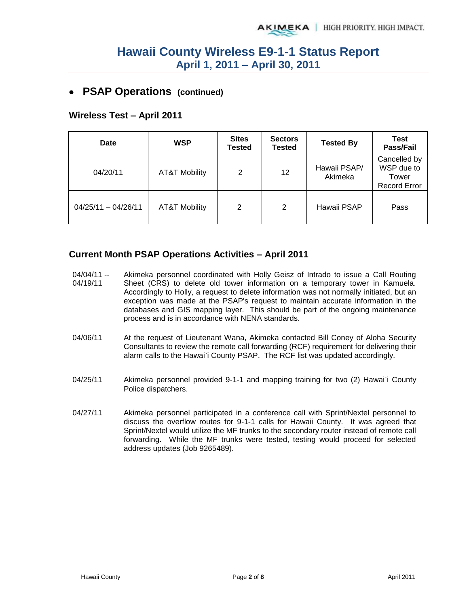### **PSAP Operations (continued)**

### **Wireless Test – April 2011**

| Date                  | <b>WSP</b>               | <b>Sites</b><br><b>Tested</b> | <b>Sectors</b><br><b>Tested</b> | <b>Tested By</b>        | Test<br>Pass/Fail                                          |
|-----------------------|--------------------------|-------------------------------|---------------------------------|-------------------------|------------------------------------------------------------|
| 04/20/11              | <b>AT&amp;T Mobility</b> | 2                             | 12                              | Hawaii PSAP/<br>Akimeka | Cancelled by<br>WSP due to<br>Tower<br><b>Record Error</b> |
| $04/25/11 - 04/26/11$ | <b>AT&amp;T Mobility</b> | 2                             | 2                               | Hawaii PSAP             | Pass                                                       |

#### **Current Month PSAP Operations Activities – April 2011**

- 04/04/11 -- 04/19/11 Akimeka personnel coordinated with Holly Geisz of Intrado to issue a Call Routing Sheet (CRS) to delete old tower information on a temporary tower in Kamuela. Accordingly to Holly, a request to delete information was not normally initiated, but an exception was made at the PSAP's request to maintain accurate information in the databases and GIS mapping layer. This should be part of the ongoing maintenance process and is in accordance with NENA standards.
- 04/06/11 At the request of Lieutenant Wana, Akimeka contacted Bill Coney of Aloha Security Consultants to review the remote call forwarding (RCF) requirement for delivering their alarm calls to the Hawai`i County PSAP. The RCF list was updated accordingly.
- 04/25/11 Akimeka personnel provided 9-1-1 and mapping training for two (2) Hawai`i County Police dispatchers.
- 04/27/11 Akimeka personnel participated in a conference call with Sprint/Nextel personnel to discuss the overflow routes for 9-1-1 calls for Hawaii County. It was agreed that Sprint/Nextel would utilize the MF trunks to the secondary router instead of remote call forwarding. While the MF trunks were tested, testing would proceed for selected address updates (Job 9265489).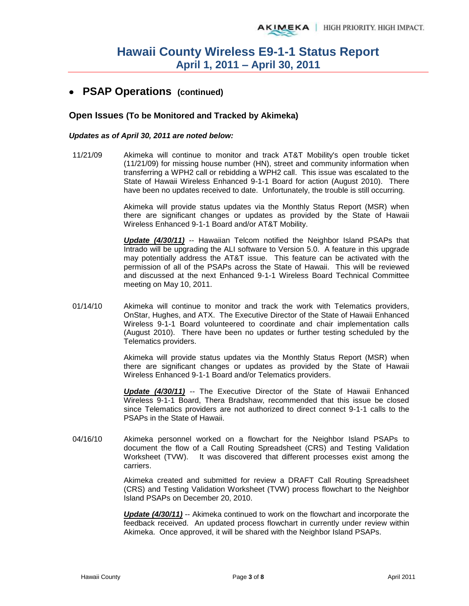### **PSAP Operations (continued)**

#### **Open Issues (To be Monitored and Tracked by Akimeka)**

#### *Updates as of April 30, 2011 are noted below:*

11/21/09 Akimeka will continue to monitor and track AT&T Mobility's open trouble ticket (11/21/09) for missing house number (HN), street and community information when transferring a WPH2 call or rebidding a WPH2 call. This issue was escalated to the State of Hawaii Wireless Enhanced 9-1-1 Board for action (August 2010). There have been no updates received to date. Unfortunately, the trouble is still occurring.

> Akimeka will provide status updates via the Monthly Status Report (MSR) when there are significant changes or updates as provided by the State of Hawaii Wireless Enhanced 9-1-1 Board and/or AT&T Mobility.

> *Update (4/30/11)* -- Hawaiian Telcom notified the Neighbor Island PSAPs that Intrado will be upgrading the ALI software to Version 5.0. A feature in this upgrade may potentially address the AT&T issue. This feature can be activated with the permission of all of the PSAPs across the State of Hawaii. This will be reviewed and discussed at the next Enhanced 9-1-1 Wireless Board Technical Committee meeting on May 10, 2011.

01/14/10 Akimeka will continue to monitor and track the work with Telematics providers, OnStar, Hughes, and ATX. The Executive Director of the State of Hawaii Enhanced Wireless 9-1-1 Board volunteered to coordinate and chair implementation calls (August 2010). There have been no updates or further testing scheduled by the Telematics providers.

> Akimeka will provide status updates via the Monthly Status Report (MSR) when there are significant changes or updates as provided by the State of Hawaii Wireless Enhanced 9-1-1 Board and/or Telematics providers.

> *Update (4/30/11)* -- The Executive Director of the State of Hawaii Enhanced Wireless 9-1-1 Board, Thera Bradshaw, recommended that this issue be closed since Telematics providers are not authorized to direct connect 9-1-1 calls to the PSAPs in the State of Hawaii.

04/16/10 Akimeka personnel worked on a flowchart for the Neighbor Island PSAPs to document the flow of a Call Routing Spreadsheet (CRS) and Testing Validation Worksheet (TVW). It was discovered that different processes exist among the carriers.

> Akimeka created and submitted for review a DRAFT Call Routing Spreadsheet (CRS) and Testing Validation Worksheet (TVW) process flowchart to the Neighbor Island PSAPs on December 20, 2010.

> *Update (4/30/11)* -- Akimeka continued to work on the flowchart and incorporate the feedback received. An updated process flowchart in currently under review within Akimeka. Once approved, it will be shared with the Neighbor Island PSAPs.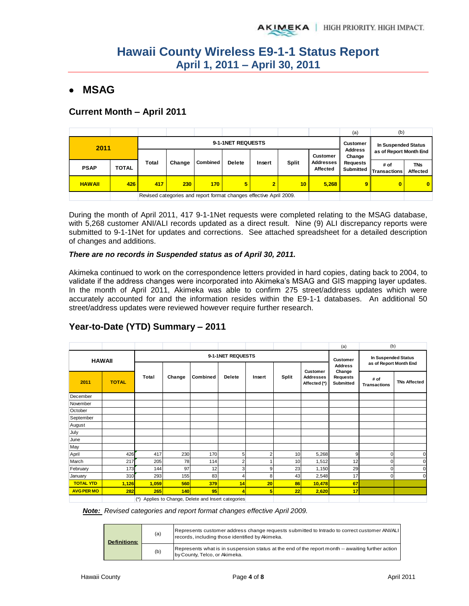## **MSAG**

### **Current Month – April 2011**

|               |              |                   |                                                                    |          |               |                |              |                              | (a)                                                | (b)                            |                        |
|---------------|--------------|-------------------|--------------------------------------------------------------------|----------|---------------|----------------|--------------|------------------------------|----------------------------------------------------|--------------------------------|------------------------|
| 2011          |              | 9-1-1NET REQUESTS |                                                                    |          |               |                |              | <b>Customer</b>              | In Suspended Status                                |                                |                        |
|               |              |                   |                                                                    |          |               |                |              | <b>Customer</b>              | <b>Address</b><br>as of Report Month End<br>Change |                                |                        |
| <b>PSAP</b>   | <b>TOTAL</b> | <b>Total</b>      | Change                                                             | Combined | <b>Delete</b> | Insert         | <b>Split</b> | <b>Addresses</b><br>Affected | <b>Requests</b>                                    | # of<br>Submitted Transactions | <b>TNs</b><br>Affected |
| <b>HAWAII</b> | 426          | 417               | 230                                                                | 170      | 5             | $\overline{2}$ | 10           | 5,268                        | 9 <sup>1</sup>                                     | $\mathbf{0}$                   | $\mathbf{0}$           |
|               |              |                   | Revised categories and report format changes effective April 2009. |          |               |                |              |                              |                                                    |                                |                        |

During the month of April 2011, 417 9-1-1Net requests were completed relating to the MSAG database, with 5,268 customer ANI/ALI records updated as a direct result. Nine (9) ALI discrepancy reports were submitted to 9-1-1Net for updates and corrections. See attached spreadsheet for a detailed description of changes and additions.

#### *There are no records in Suspended status as of April 30, 2011.*

Akimeka continued to work on the correspondence letters provided in hard copies, dating back to 2004, to validate if the address changes were incorporated into Akimeka's MSAG and GIS mapping layer updates. In the month of April 2011, Akimeka was able to confirm 275 street/address updates which were accurately accounted for and the information resides within the E9-1-1 databases. An additional 50 street/address updates were reviewed however require further research.

### **Year-to-Date (YTD) Summary – 2011**

|                   |              |                                                      |        |                   |                |                                   |                                               |                                              | (a)                                    | (b)                         |                     |
|-------------------|--------------|------------------------------------------------------|--------|-------------------|----------------|-----------------------------------|-----------------------------------------------|----------------------------------------------|----------------------------------------|-----------------------------|---------------------|
| <b>HAWAII</b>     |              |                                                      |        | 9-1-1NET REQUESTS |                | <b>Customer</b><br><b>Address</b> | In Suspended Status<br>as of Report Month End |                                              |                                        |                             |                     |
| 2011              | <b>TOTAL</b> | Total                                                | Change | Combined          | <b>Delete</b>  | Insert                            | <b>Split</b>                                  | Customer<br><b>Addresses</b><br>Affected (*) | Change<br><b>Requests</b><br>Submitted | # of<br><b>Transactions</b> | <b>TNs Affected</b> |
| December          |              |                                                      |        |                   |                |                                   |                                               |                                              |                                        |                             |                     |
| November          |              |                                                      |        |                   |                |                                   |                                               |                                              |                                        |                             |                     |
| October           |              |                                                      |        |                   |                |                                   |                                               |                                              |                                        |                             |                     |
| September         |              |                                                      |        |                   |                |                                   |                                               |                                              |                                        |                             |                     |
| August            |              |                                                      |        |                   |                |                                   |                                               |                                              |                                        |                             |                     |
| July              |              |                                                      |        |                   |                |                                   |                                               |                                              |                                        |                             |                     |
| June              |              |                                                      |        |                   |                |                                   |                                               |                                              |                                        |                             |                     |
| May               |              |                                                      |        |                   |                |                                   |                                               |                                              |                                        |                             |                     |
| April             | 426          | 417                                                  | 230    | 170               | 5              | $\overline{2}$                    | 10                                            | 5,268                                        | 9                                      | 0                           |                     |
| March             | 217          | 205                                                  | 78     | 114               | $\overline{c}$ |                                   | 10                                            | 1,512                                        | 12                                     | U                           |                     |
| February          | 173          | 144                                                  | 97     | 12                | 3              | 9                                 | 23                                            | 1,150                                        | 29                                     | $\Omega$                    |                     |
| January           | 310          | 293                                                  | 155    | 83                | 4              | 8                                 | 43                                            | 2,548                                        | 17                                     | $\Omega$                    |                     |
| <b>TOTAL YTD</b>  | 1,126        | 1,059                                                | 560    | 379               | 14             | 20                                | 86                                            | 10,478                                       | 67                                     |                             |                     |
| <b>AVG PER MO</b> | 282          | 265                                                  | 140    | 95                |                | 5                                 | 22                                            | 2,620                                        | 17                                     |                             |                     |
|                   |              | $(*)$ Applicate Change. Delate and Insert estegation |        |                   |                |                                   |                                               |                                              |                                        |                             |                     |

(\*) Applies to Change, Delete and Insert categories

*Note: Revised categories and report format changes effective April 2009.*

| <b>Definitions:</b> | (a) | Represents customer address change requests submitted to Intrado to correct customer ANI/ALI<br>records, including those identified by Akimeka. |
|---------------------|-----|-------------------------------------------------------------------------------------------------------------------------------------------------|
|                     | (b) | Represents what is in suspension status at the end of the report month -- awaiting further action<br>by County, Telco, or Akimeka.              |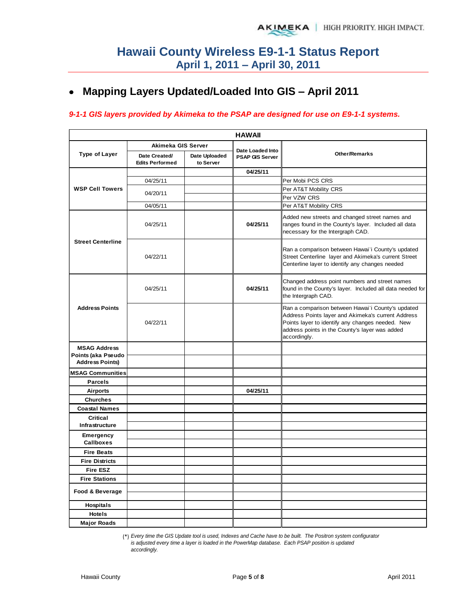## **Mapping Layers Updated/Loaded Into GIS – April 2011**

#### *9-1-1 GIS layers provided by Akimeka to the PSAP are designed for use on E9-1-1 systems.*

| <b>HAWAII</b>                                |                                         |                            |                                            |                                                                                                                                                                                                                               |  |  |  |  |  |
|----------------------------------------------|-----------------------------------------|----------------------------|--------------------------------------------|-------------------------------------------------------------------------------------------------------------------------------------------------------------------------------------------------------------------------------|--|--|--|--|--|
|                                              | Akimeka GIS Server                      |                            |                                            |                                                                                                                                                                                                                               |  |  |  |  |  |
| <b>Type of Layer</b>                         | Date Created/<br><b>Edits Performed</b> | Date Uploaded<br>to Server | Date Loaded Into<br><b>PSAP GIS Server</b> | Other/Remarks                                                                                                                                                                                                                 |  |  |  |  |  |
|                                              |                                         |                            | 04/25/11                                   |                                                                                                                                                                                                                               |  |  |  |  |  |
|                                              | 04/25/11                                |                            |                                            | Per Mobi PCS CRS                                                                                                                                                                                                              |  |  |  |  |  |
| <b>WSP Cell Towers</b>                       | 04/20/11                                |                            |                                            | Per AT&T Mobility CRS                                                                                                                                                                                                         |  |  |  |  |  |
|                                              |                                         |                            |                                            | Per VZW CRS                                                                                                                                                                                                                   |  |  |  |  |  |
|                                              | 04/05/11                                |                            |                                            | Per AT&T Mobility CRS                                                                                                                                                                                                         |  |  |  |  |  |
|                                              | 04/25/11                                |                            | 04/25/11                                   | Added new streets and changed street names and<br>ranges found in the County's layer. Included all data<br>necessary for the Intergraph CAD.                                                                                  |  |  |  |  |  |
| <b>Street Centerline</b>                     | 04/22/11                                |                            |                                            | Ran a comparison between Hawai'i County's updated<br>Street Centerline layer and Akimeka's current Street<br>Centerline layer to identify any changes needed                                                                  |  |  |  |  |  |
|                                              | 04/25/11                                |                            | 04/25/11                                   | Changed address point numbers and street names<br>found in the County's layer. Included all data needed for<br>the Intergraph CAD.                                                                                            |  |  |  |  |  |
| <b>Address Points</b>                        | 04/22/11                                |                            |                                            | Ran a comparison between Hawai'i County's updated<br>Address Points layer and Akimeka's current Address<br>Points layer to identify any changes needed. New<br>address points in the County's layer was added<br>accordingly. |  |  |  |  |  |
| <b>MSAG Address</b>                          |                                         |                            |                                            |                                                                                                                                                                                                                               |  |  |  |  |  |
| Points (aka Pseudo<br><b>Address Points)</b> |                                         |                            |                                            |                                                                                                                                                                                                                               |  |  |  |  |  |
| <b>MSAG Communities</b>                      |                                         |                            |                                            |                                                                                                                                                                                                                               |  |  |  |  |  |
| <b>Parcels</b>                               |                                         |                            |                                            |                                                                                                                                                                                                                               |  |  |  |  |  |
| <b>Airports</b>                              |                                         |                            | 04/25/11                                   |                                                                                                                                                                                                                               |  |  |  |  |  |
| <b>Churches</b>                              |                                         |                            |                                            |                                                                                                                                                                                                                               |  |  |  |  |  |
| <b>Coastal Names</b>                         |                                         |                            |                                            |                                                                                                                                                                                                                               |  |  |  |  |  |
| <b>Critical</b><br>Infrastructure            |                                         |                            |                                            |                                                                                                                                                                                                                               |  |  |  |  |  |
| <b>Emergency</b><br><b>Callboxes</b>         |                                         |                            |                                            |                                                                                                                                                                                                                               |  |  |  |  |  |
| <b>Fire Beats</b>                            |                                         |                            |                                            |                                                                                                                                                                                                                               |  |  |  |  |  |
| <b>Fire Districts</b>                        |                                         |                            |                                            |                                                                                                                                                                                                                               |  |  |  |  |  |
| <b>Fire ESZ</b>                              |                                         |                            |                                            |                                                                                                                                                                                                                               |  |  |  |  |  |
| <b>Fire Stations</b>                         |                                         |                            |                                            |                                                                                                                                                                                                                               |  |  |  |  |  |
| Food & Beverage                              |                                         |                            |                                            |                                                                                                                                                                                                                               |  |  |  |  |  |
| <b>Hospitals</b>                             |                                         |                            |                                            |                                                                                                                                                                                                                               |  |  |  |  |  |
| <b>Hotels</b>                                |                                         |                            |                                            |                                                                                                                                                                                                                               |  |  |  |  |  |
| <b>Major Roads</b>                           |                                         |                            |                                            |                                                                                                                                                                                                                               |  |  |  |  |  |

(\*) *Every time the GIS Update tool is used, Indexes and Cache have to be built. The Positron system configurator is adjusted every time a layer is loaded in the PowerMap database. Each PSAP position is updated accordingly.*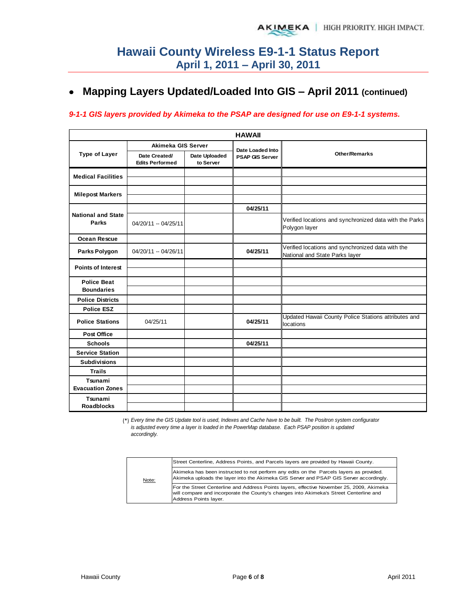## **Mapping Layers Updated/Loaded Into GIS – April 2011 (continued)**

#### *9-1-1 GIS layers provided by Akimeka to the PSAP are designed for use on E9-1-1 systems.*

|                                           | <b>HAWAII</b>                           |                            |                        |                                                                                     |  |  |  |  |  |  |  |  |
|-------------------------------------------|-----------------------------------------|----------------------------|------------------------|-------------------------------------------------------------------------------------|--|--|--|--|--|--|--|--|
|                                           | Akimeka GIS Server                      |                            | Date Loaded Into       |                                                                                     |  |  |  |  |  |  |  |  |
| <b>Type of Layer</b>                      | Date Created/<br><b>Edits Performed</b> | Date Uploaded<br>to Server | <b>PSAP GIS Server</b> | <b>Other/Remarks</b>                                                                |  |  |  |  |  |  |  |  |
| <b>Medical Facilities</b>                 |                                         |                            |                        |                                                                                     |  |  |  |  |  |  |  |  |
|                                           |                                         |                            |                        |                                                                                     |  |  |  |  |  |  |  |  |
| <b>Milepost Markers</b>                   |                                         |                            |                        |                                                                                     |  |  |  |  |  |  |  |  |
|                                           |                                         |                            | 04/25/11               |                                                                                     |  |  |  |  |  |  |  |  |
| <b>National and State</b><br><b>Parks</b> | 04/20/11 -- 04/25/11                    |                            |                        | Verified locations and synchronized data with the Parks<br>Polygon layer            |  |  |  |  |  |  |  |  |
| <b>Ocean Rescue</b>                       |                                         |                            |                        |                                                                                     |  |  |  |  |  |  |  |  |
| Parks Polygon                             | 04/20/11 -- 04/26/11                    |                            | 04/25/11               | Verified locations and synchronized data with the<br>National and State Parks layer |  |  |  |  |  |  |  |  |
| <b>Points of Interest</b>                 |                                         |                            |                        |                                                                                     |  |  |  |  |  |  |  |  |
| <b>Police Beat</b>                        |                                         |                            |                        |                                                                                     |  |  |  |  |  |  |  |  |
| <b>Boundaries</b>                         |                                         |                            |                        |                                                                                     |  |  |  |  |  |  |  |  |
| <b>Police Districts</b>                   |                                         |                            |                        |                                                                                     |  |  |  |  |  |  |  |  |
| <b>Police ESZ</b>                         |                                         |                            |                        |                                                                                     |  |  |  |  |  |  |  |  |
| <b>Police Stations</b>                    | 04/25/11                                |                            | 04/25/11               | Updated Hawaii County Police Stations attributes and<br>locations                   |  |  |  |  |  |  |  |  |
| <b>Post Office</b>                        |                                         |                            |                        |                                                                                     |  |  |  |  |  |  |  |  |
| <b>Schools</b>                            |                                         |                            | 04/25/11               |                                                                                     |  |  |  |  |  |  |  |  |
| <b>Service Station</b>                    |                                         |                            |                        |                                                                                     |  |  |  |  |  |  |  |  |
| <b>Subdivisions</b>                       |                                         |                            |                        |                                                                                     |  |  |  |  |  |  |  |  |
| <b>Trails</b>                             |                                         |                            |                        |                                                                                     |  |  |  |  |  |  |  |  |
| Tsunami                                   |                                         |                            |                        |                                                                                     |  |  |  |  |  |  |  |  |
| <b>Evacuation Zones</b>                   |                                         |                            |                        |                                                                                     |  |  |  |  |  |  |  |  |
| Tsunami                                   |                                         |                            |                        |                                                                                     |  |  |  |  |  |  |  |  |
| <b>Roadblocks</b>                         |                                         |                            |                        |                                                                                     |  |  |  |  |  |  |  |  |

(\*) *Every time the GIS Update tool is used, Indexes and Cache have to be built. The Positron system configurator is adjusted every time a layer is loaded in the PowerMap database. Each PSAP position is updated accordingly.*

|       | Street Centerline, Address Points, and Parcels layers are provided by Hawaii County.                                                                                                                         |
|-------|--------------------------------------------------------------------------------------------------------------------------------------------------------------------------------------------------------------|
| Note: | Akimeka has been instructed to not perform any edits on the Parcels layers as provided.<br>Akimeka uploads the layer into the Akimeka GIS Server and PSAP GIS Server accordingly.                            |
|       | For the Street Centerline and Address Points layers, effective November 25, 2009, Akimeka<br>will compare and incorporate the County's changes into Akimeka's Street Centerline and<br>Address Points layer. |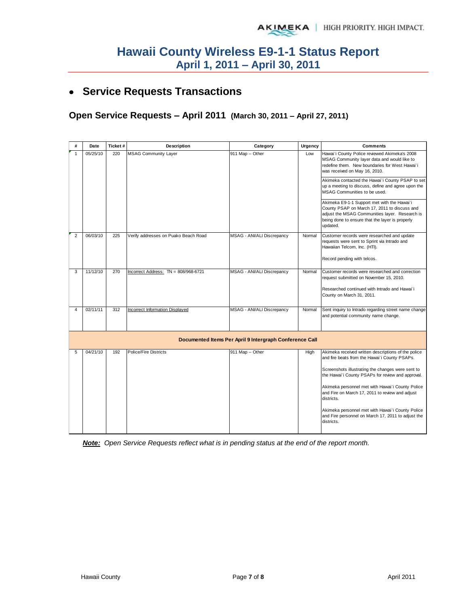## **Service Requests Transactions**

**Open Service Requests – April 2011 (March 30, 2011 – April 27, 2011)** 

| #              | Date     | Ticket# | Description                            | Urgency<br>Category                                     |        | <b>Comments</b>                                                                                                                                                                                                                     |  |  |
|----------------|----------|---------|----------------------------------------|---------------------------------------------------------|--------|-------------------------------------------------------------------------------------------------------------------------------------------------------------------------------------------------------------------------------------|--|--|
| $\mathbf{1}$   | 05/25/10 | 220     | <b>MSAG Community Layer</b>            | 911 Map -- Other                                        | Low    | Hawai'i County Police reviewed Akimeka's 2008<br>MSAG Community layer data and would like to<br>redefine them. New boundaries for West Hawai'i<br>was received on May 16, 2010.<br>Akimeka contacted the Hawai'i County PSAP to set |  |  |
|                |          |         |                                        |                                                         |        | up a meeting to discuss, define and agree upon the<br>MSAG Communities to be used.                                                                                                                                                  |  |  |
|                |          |         |                                        |                                                         |        | Akimeka E9-1-1 Support met with the Hawai'i<br>County PSAP on March 17, 2011 to discuss and<br>adjust the MSAG Communities layer. Research is<br>being done to ensure that the layer is properly<br>updated.                        |  |  |
| $\overline{2}$ | 06/03/10 | 225     | Verify addresses on Puako Beach Road   | <b>MSAG - ANI/ALI Discrepancy</b>                       | Normal | Customer records were researched and update<br>requests were sent to Sprint via Intrado and<br>Hawaiian Telcom, Inc. (HTI).<br>Record pending with telcos.                                                                          |  |  |
| 3              | 11/12/10 | 270     | Incorrect Address: TN = 808/968-6721   | <b>MSAG - ANI/ALI Discrepancy</b>                       | Normal | Customer records were researched and correction<br>request submitted on November 15, 2010.                                                                                                                                          |  |  |
|                |          |         |                                        |                                                         |        | Researched continued with Intrado and Hawai'i<br>County on March 31, 2011.                                                                                                                                                          |  |  |
| 4              | 02/11/11 | 312     | <b>Incorrect Information Displayed</b> | MSAG - ANI/ALI Discrepancy                              | Normal | Sent inquiry to Intrado regarding street name change<br>and potential community name change.                                                                                                                                        |  |  |
|                |          |         |                                        | Documented Items Per April 9 Intergraph Conference Call |        |                                                                                                                                                                                                                                     |  |  |
| 5              | 04/21/10 | 192     | Police/Fire Districts                  | 911 Map -- Other                                        | High   | Akimeka received written descriptions of the police<br>and fire beats from the Hawai'i County PSAPs.                                                                                                                                |  |  |
|                |          |         |                                        |                                                         |        | Screenshots illustrating the changes were sent to<br>the Hawai'i County PSAPs for review and approval.                                                                                                                              |  |  |
|                |          |         |                                        |                                                         |        | Akimeka personnel met with Hawai'i County Police<br>and Fire on March 17, 2011 to review and adjust<br>districts.                                                                                                                   |  |  |
|                |          |         |                                        |                                                         |        | Akimeka personnel met with Hawai'i County Police<br>and Fire personnel on March 17, 2011 to adjust the<br>districts.                                                                                                                |  |  |

*Note: Open Service Requests reflect what is in pending status at the end of the report month.*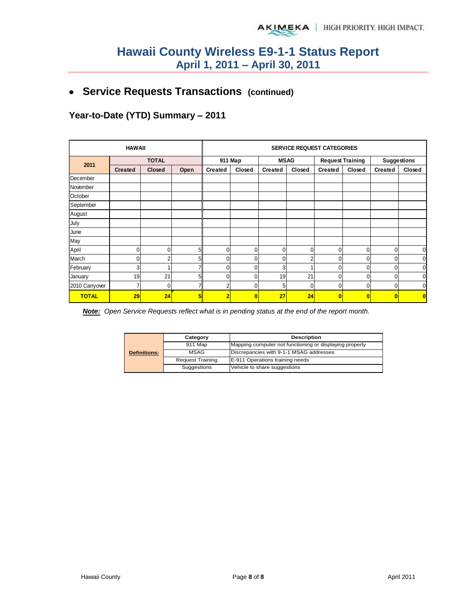**Service Requests Transactions (continued)**

**Year-to-Date (YTD) Summary – 2011**

|                | <b>HAWAII</b>  |               |      |                | <b>SERVICE REQUEST CATEGORIES</b> |                |                |                |                         |                    |             |  |
|----------------|----------------|---------------|------|----------------|-----------------------------------|----------------|----------------|----------------|-------------------------|--------------------|-------------|--|
| 2011           | <b>TOTAL</b>   |               |      |                | 911 Map                           |                | <b>MSAG</b>    |                | <b>Request Training</b> | <b>Suggestions</b> |             |  |
|                | <b>Created</b> | <b>Closed</b> | Open | <b>Created</b> | Closed                            | <b>Created</b> | Closed         | <b>Created</b> | Closed                  | <b>Created</b>     | Closed      |  |
| December       |                |               |      |                |                                   |                |                |                |                         |                    |             |  |
| November       |                |               |      |                |                                   |                |                |                |                         |                    |             |  |
| October        |                |               |      |                |                                   |                |                |                |                         |                    |             |  |
| September      |                |               |      |                |                                   |                |                |                |                         |                    |             |  |
| August         |                |               |      |                |                                   |                |                |                |                         |                    |             |  |
| <b>July</b>    |                |               |      |                |                                   |                |                |                |                         |                    |             |  |
| June           |                |               |      |                |                                   |                |                |                |                         |                    |             |  |
| May            |                |               |      |                |                                   |                |                |                |                         |                    |             |  |
| April          | 0              | 0             | 5    | $\overline{0}$ | $\overline{0}$                    | 0              | $\overline{0}$ | 0              | 0                       | $\mathbf{0}$       | $\mathbf 0$ |  |
| March          | 0              | 2             | 5    | $\Omega$       | $\mathbf{0}$                      | 0              | 2              | 0              | 0                       | $\Omega$           | $\mathbf 0$ |  |
| February       | 3 <sup>1</sup> |               |      | 0              | $\Omega$                          | 3              |                | $\Omega$       | 0                       | 0                  | $\mathbf 0$ |  |
| January        | 19             | 21            | 5    | U              | $\Omega$                          | 19             | 21             | $\Omega$       | 0                       | $\Omega$           | $\mathbf 0$ |  |
| 2010 Carryover | $\overline{7}$ | 0             |      | n              | $\Omega$                          | 5              | $\Omega$       | $\Omega$       | 0                       | 0                  | $\mathbf 0$ |  |
| <b>TOTAL</b>   | 29             | 24            | 5    | ٠              | $\bf{0}$                          | 27             | 24             | $\bf{0}$       | $\bf{0}$                | 0                  | $\bf{0}$    |  |

*Note: Open Service Requests reflect what is in pending status at the end of the report month.* 

|                     | Category                | <b>Description</b>                                      |  |  |  |  |
|---------------------|-------------------------|---------------------------------------------------------|--|--|--|--|
|                     | 911 Map                 | Mapping computer not functioning or displaying properly |  |  |  |  |
| <b>Definitions:</b> | MSAG                    | Discrepancies with 9-1-1 MSAG addresses                 |  |  |  |  |
|                     | <b>Request Training</b> | E-911 Operations training needs                         |  |  |  |  |
|                     | Suggestions             | Vehicle to share suggestions                            |  |  |  |  |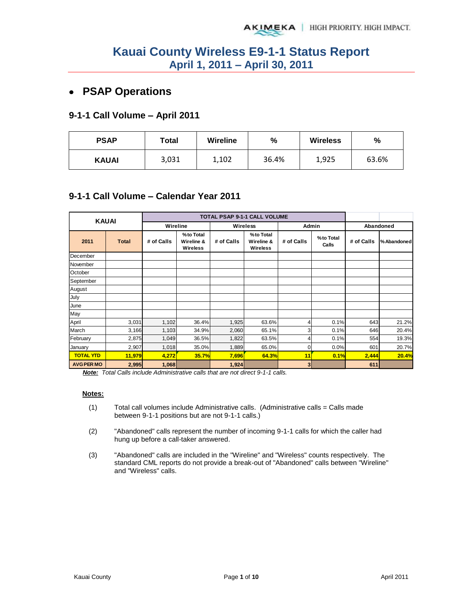## **PSAP Operations**

#### **9-1-1 Call Volume – April 2011**

| <b>PSAP</b>  | Total |       | %     | <b>Wireless</b> | $\frac{0}{0}$ |  |
|--------------|-------|-------|-------|-----------------|---------------|--|
| <b>KAUAI</b> | 3,031 | 1,102 | 36.4% | 1,925           | 63.6%         |  |

### **9-1-1 Call Volume – Calendar Year 2011**

| <b>KAUAI</b>      |              |            |                                     | <b>TOTAL PSAP 9-1-1 CALL VOLUME</b> |                                     |              |                    |            |             |
|-------------------|--------------|------------|-------------------------------------|-------------------------------------|-------------------------------------|--------------|--------------------|------------|-------------|
|                   |              | Wireline   |                                     |                                     | <b>Wireless</b>                     | Admin        |                    |            | Abandoned   |
| 2011              | <b>Total</b> | # of Calls | %to Total<br>Wireline &<br>Wireless | # of Calls                          | %to Total<br>Wireline &<br>Wireless | # of Calls   | %to Total<br>Calls | # of Calls | % Abandoned |
| December          |              |            |                                     |                                     |                                     |              |                    |            |             |
| November          |              |            |                                     |                                     |                                     |              |                    |            |             |
| October           |              |            |                                     |                                     |                                     |              |                    |            |             |
| September         |              |            |                                     |                                     |                                     |              |                    |            |             |
| August            |              |            |                                     |                                     |                                     |              |                    |            |             |
| July              |              |            |                                     |                                     |                                     |              |                    |            |             |
| June              |              |            |                                     |                                     |                                     |              |                    |            |             |
| May               |              |            |                                     |                                     |                                     |              |                    |            |             |
| April             | 3,031        | 1,102      | 36.4%                               | 1,925                               | 63.6%                               | 4            | 0.1%               | 643        | 21.2%       |
| March             | 3,166        | 1,103      | 34.9%                               | 2,060                               | 65.1%                               | 3            | 0.1%               | 646        | 20.4%       |
| February          | 2,875        | 1,049      | 36.5%                               | 1,822                               | 63.5%                               | 4            | 0.1%               | 554        | 19.3%       |
| January           | 2,907        | 1,018      | 35.0%                               | 1,889                               | 65.0%                               | 0            | 0.0%               | 601        | 20.7%       |
| <b>TOTAL YTD</b>  | 11,979       | 4,272      | 35.7%                               | 7,696                               | 64.3%                               | 11           | 0.1%               | 2,444      | 20.4%       |
| <b>AVG PER MO</b> | 2,995        | 1,068      |                                     | 1,924                               |                                     | $\mathbf{3}$ |                    | 611        |             |

*Note: Total Calls include Administrative calls that are not direct 9-1-1 calls.* 

#### **Notes:**

- (1) Total call volumes include Administrative calls. (Administrative calls = Calls made between 9-1-1 positions but are not 9-1-1 calls.)
- (2) "Abandoned" calls represent the number of incoming 9-1-1 calls for which the caller had hung up before a call-taker answered.
- (3) "Abandoned" calls are included in the "Wireline" and "Wireless" counts respectively. The standard CML reports do not provide a break-out of "Abandoned" calls between "Wireline" and "Wireless" calls.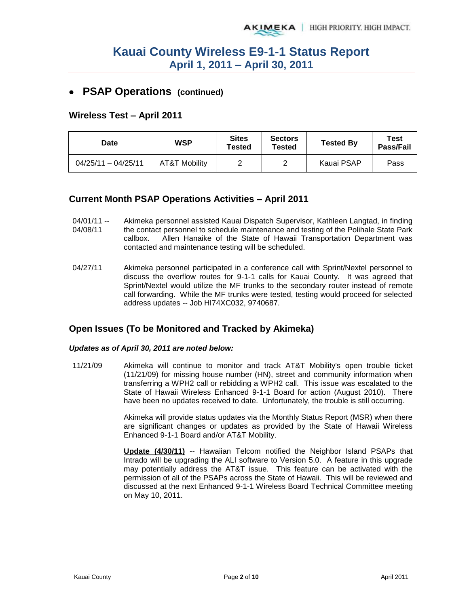### **PSAP Operations (continued)**

#### **Wireless Test – April 2011**

| Date                  | <b>WSP</b>    | <b>Sites</b><br>Tested | <b>Sectors</b><br>Tested | <b>Tested By</b> | Test<br><b>Pass/Fail</b> |
|-----------------------|---------------|------------------------|--------------------------|------------------|--------------------------|
| $04/25/11 - 04/25/11$ | AT&T Mobility |                        |                          | Kauai PSAP       | Pass                     |

### **Current Month PSAP Operations Activities – April 2011**

- $04/01/11 -$ 04/08/11 Akimeka personnel assisted Kauai Dispatch Supervisor, Kathleen Langtad, in finding the contact personnel to schedule maintenance and testing of the Polihale State Park callbox. Allen Hanaike of the State of Hawaii Transportation Department was contacted and maintenance testing will be scheduled.
- 04/27/11 Akimeka personnel participated in a conference call with Sprint/Nextel personnel to discuss the overflow routes for 9-1-1 calls for Kauai County. It was agreed that Sprint/Nextel would utilize the MF trunks to the secondary router instead of remote call forwarding. While the MF trunks were tested, testing would proceed for selected address updates -- Job HI74XC032, 9740687.

#### **Open Issues (To be Monitored and Tracked by Akimeka)**

#### *Updates as of April 30, 2011 are noted below:*

11/21/09 Akimeka will continue to monitor and track AT&T Mobility's open trouble ticket (11/21/09) for missing house number (HN), street and community information when transferring a WPH2 call or rebidding a WPH2 call. This issue was escalated to the State of Hawaii Wireless Enhanced 9-1-1 Board for action (August 2010). There have been no updates received to date. Unfortunately, the trouble is still occurring.

> Akimeka will provide status updates via the Monthly Status Report (MSR) when there are significant changes or updates as provided by the State of Hawaii Wireless Enhanced 9-1-1 Board and/or AT&T Mobility.

> **Update (4/30/11)** -- Hawaiian Telcom notified the Neighbor Island PSAPs that Intrado will be upgrading the ALI software to Version 5.0. A feature in this upgrade may potentially address the AT&T issue. This feature can be activated with the permission of all of the PSAPs across the State of Hawaii. This will be reviewed and discussed at the next Enhanced 9-1-1 Wireless Board Technical Committee meeting on May 10, 2011.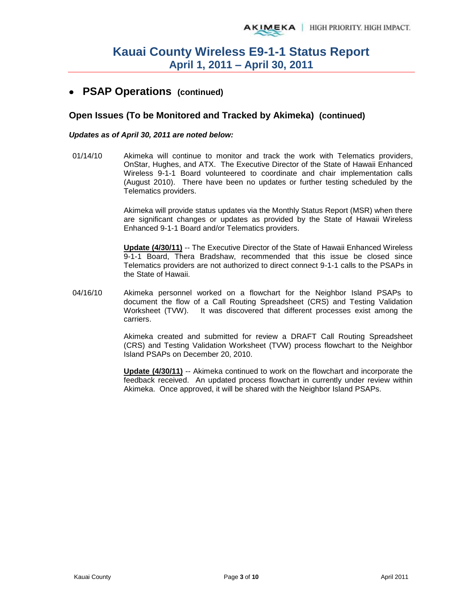### **PSAP Operations (continued)**

#### **Open Issues (To be Monitored and Tracked by Akimeka) (continued)**

#### *Updates as of April 30, 2011 are noted below:*

01/14/10 Akimeka will continue to monitor and track the work with Telematics providers, OnStar, Hughes, and ATX. The Executive Director of the State of Hawaii Enhanced Wireless 9-1-1 Board volunteered to coordinate and chair implementation calls (August 2010). There have been no updates or further testing scheduled by the Telematics providers.

> Akimeka will provide status updates via the Monthly Status Report (MSR) when there are significant changes or updates as provided by the State of Hawaii Wireless Enhanced 9-1-1 Board and/or Telematics providers.

> **Update (4/30/11)** -- The Executive Director of the State of Hawaii Enhanced Wireless 9-1-1 Board, Thera Bradshaw, recommended that this issue be closed since Telematics providers are not authorized to direct connect 9-1-1 calls to the PSAPs in the State of Hawaii.

04/16/10 Akimeka personnel worked on a flowchart for the Neighbor Island PSAPs to document the flow of a Call Routing Spreadsheet (CRS) and Testing Validation Worksheet (TVW). It was discovered that different processes exist among the carriers.

> Akimeka created and submitted for review a DRAFT Call Routing Spreadsheet (CRS) and Testing Validation Worksheet (TVW) process flowchart to the Neighbor Island PSAPs on December 20, 2010.

> **Update (4/30/11)** -- Akimeka continued to work on the flowchart and incorporate the feedback received. An updated process flowchart in currently under review within Akimeka. Once approved, it will be shared with the Neighbor Island PSAPs.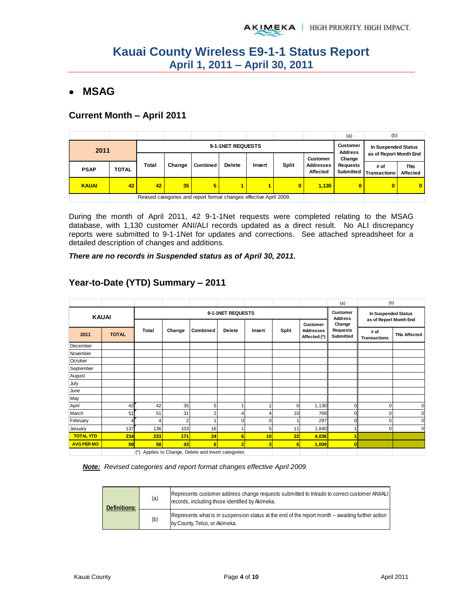### **MSAG**

### **Current Month – April 2011**

|              |       |                                                                    |        |          |               |        |                 |                              | (a)                          | (b)                    |                        |
|--------------|-------|--------------------------------------------------------------------|--------|----------|---------------|--------|-----------------|------------------------------|------------------------------|------------------------|------------------------|
| 2011         |       | 9-1-1NET REQUESTS                                                  |        |          |               |        |                 |                              |                              | In Suspended Status    |                        |
|              |       |                                                                    |        |          |               |        | <b>Customer</b> |                              | <b>Address</b><br>Change     | as of Report Month End |                        |
| <b>PSAP</b>  | TOTAL | <b>Total</b>                                                       | Change | Combined | <b>Delete</b> | Insert | <b>Split</b>    | Addresses<br><b>Affected</b> | <b>Requests</b><br>Submitted | # of<br>ITransactions  | <b>TNs</b><br>Affected |
| <b>KAUAI</b> | 42    | 42                                                                 | 35     | 5.       | 1             |        | $\bf{0}$        | 1,130                        | $\mathbf{0}$                 | $\bf{0}$               | $\mathbf{0}$           |
|              |       | Revised categories and report format changes effective April 2009. |        |          |               |        |                 |                              |                              |                        |                        |

During the month of April 2011, 42 9-1-1Net requests were completed relating to the MSAG database, with 1,130 customer ANI/ALI records updated as a direct result. No ALI discrepancy reports were submitted to 9-1-1Net for updates and corrections. See attached spreadsheet for a detailed description of changes and additions.

*There are no records in Suspended status as of April 30, 2011.* 

|                   |              |       |        |                                                 |                   |             |                |                                       | (a)                                    | (b)                                           |                     |
|-------------------|--------------|-------|--------|-------------------------------------------------|-------------------|-------------|----------------|---------------------------------------|----------------------------------------|-----------------------------------------------|---------------------|
|                   | <b>KAUAI</b> |       |        |                                                 | 9-1-1NET REQUESTS |             |                |                                       | <b>Customer</b><br><b>Address</b>      | In Suspended Status<br>as of Report Month End |                     |
| 2011              | <b>TOTAL</b> | Total | Change | Combined                                        | <b>Delete</b>     | Insert      | Split          | Customer<br>Addresses<br>Affected (*) | Change<br><b>Requests</b><br>Submitted | # of<br><b>Transactions</b>                   | <b>TNs Affected</b> |
| December          |              |       |        |                                                 |                   |             |                |                                       |                                        |                                               |                     |
| November          |              |       |        |                                                 |                   |             |                |                                       |                                        |                                               |                     |
| October           |              |       |        |                                                 |                   |             |                |                                       |                                        |                                               |                     |
| September         |              |       |        |                                                 |                   |             |                |                                       |                                        |                                               |                     |
| August            |              |       |        |                                                 |                   |             |                |                                       |                                        |                                               |                     |
| July              |              |       |        |                                                 |                   |             |                |                                       |                                        |                                               |                     |
| June              |              |       |        |                                                 |                   |             |                |                                       |                                        |                                               |                     |
| May               |              |       |        |                                                 |                   |             |                |                                       |                                        |                                               |                     |
| April             | 42           | 42    | 35     | 5                                               |                   |             | $\Omega$       | 1,130                                 | 0                                      | $\Omega$                                      | 0                   |
| March             | 51           | 51    | 31     | $\overline{2}$                                  | 4                 | 4           | 10             | 769                                   | 0                                      |                                               | O                   |
| February          |              |       | 2      |                                                 | 0                 | $\mathbf 0$ |                | 297                                   | 0                                      | $\Omega$                                      | 0                   |
| January           | 137          | 136   | 103    | 16                                              |                   | 5           | 11             | 1,840                                 | 1                                      | $\mathbf{0}$                                  | $\Omega$            |
| <b>TOTAL YTD</b>  | 234          | 233   | 171    | 24                                              | $6\phantom{1}$    | 10          | 22             | 4,036                                 |                                        |                                               |                     |
| <b>AVG PER MO</b> | 59           | 58    | 43     | 6                                               | $\overline{2}$    | 3           | $6\phantom{1}$ | 1,009                                 | O                                      |                                               |                     |
|                   |              | $(*)$ |        | Applies to Change, Delete and Insert categories |                   |             |                |                                       |                                        |                                               |                     |

### **Year-to-Date (YTD) Summary – 2011**

*Note: Revised categories and report format changes effective April 2009.* 

| <b>Definitions:</b> | (a) | Represents customer address change requests submitted to Intrado to correct customer ANI/ALI<br>records, including those identified by Akimeka. |
|---------------------|-----|-------------------------------------------------------------------------------------------------------------------------------------------------|
|                     | (b) | Represents what is in suspension status at the end of the report month -- awaiting further action<br>by County, Telco, or Akimeka.              |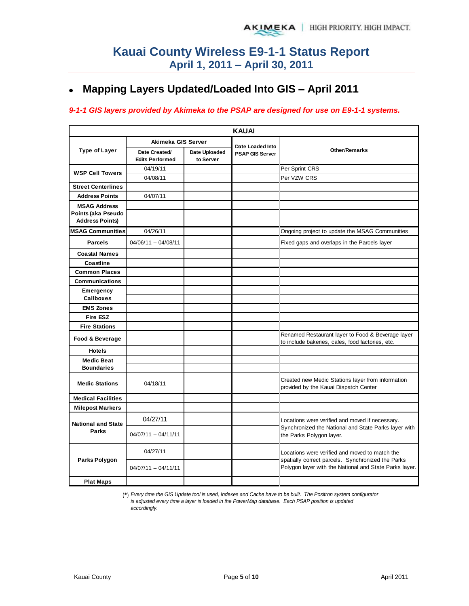#### **Mapping Layers Updated/Loaded Into GIS – April 2011**  $\bullet$

#### *9-1-1 GIS layers provided by Akimeka to the PSAP are designed for use on E9-1-1 systems.*

|                                                                     | <b>KAUAI</b>                            |                            |                                            |                                                                                                       |  |  |  |  |  |  |  |  |
|---------------------------------------------------------------------|-----------------------------------------|----------------------------|--------------------------------------------|-------------------------------------------------------------------------------------------------------|--|--|--|--|--|--|--|--|
|                                                                     | Akimeka GIS Server                      |                            |                                            |                                                                                                       |  |  |  |  |  |  |  |  |
| <b>Type of Layer</b>                                                | Date Created/<br><b>Edits Performed</b> | Date Uploaded<br>to Server | Date Loaded Into<br><b>PSAP GIS Server</b> | Other/Remarks                                                                                         |  |  |  |  |  |  |  |  |
| <b>WSP Cell Towers</b>                                              | 04/19/11                                |                            |                                            | Per Sprint CRS                                                                                        |  |  |  |  |  |  |  |  |
|                                                                     | 04/08/11                                |                            |                                            | Per VZW CRS                                                                                           |  |  |  |  |  |  |  |  |
| <b>Street Centerlines</b>                                           |                                         |                            |                                            |                                                                                                       |  |  |  |  |  |  |  |  |
| <b>Address Points</b>                                               | 04/07/11                                |                            |                                            |                                                                                                       |  |  |  |  |  |  |  |  |
| <b>MSAG Address</b><br>Points (aka Pseudo<br><b>Address Points)</b> |                                         |                            |                                            |                                                                                                       |  |  |  |  |  |  |  |  |
| <b>MSAG Communities</b>                                             | 04/26/11                                |                            |                                            | Ongoing project to update the MSAG Communities                                                        |  |  |  |  |  |  |  |  |
| <b>Parcels</b>                                                      | 04/06/11 -- 04/08/11                    |                            |                                            | Fixed gaps and overlaps in the Parcels layer                                                          |  |  |  |  |  |  |  |  |
| <b>Coastal Names</b>                                                |                                         |                            |                                            |                                                                                                       |  |  |  |  |  |  |  |  |
| Coastline                                                           |                                         |                            |                                            |                                                                                                       |  |  |  |  |  |  |  |  |
| <b>Common Places</b>                                                |                                         |                            |                                            |                                                                                                       |  |  |  |  |  |  |  |  |
| <b>Communications</b>                                               |                                         |                            |                                            |                                                                                                       |  |  |  |  |  |  |  |  |
| Emergency<br><b>Callboxes</b>                                       |                                         |                            |                                            |                                                                                                       |  |  |  |  |  |  |  |  |
| <b>EMS Zones</b>                                                    |                                         |                            |                                            |                                                                                                       |  |  |  |  |  |  |  |  |
| <b>Fire ESZ</b>                                                     |                                         |                            |                                            |                                                                                                       |  |  |  |  |  |  |  |  |
| <b>Fire Stations</b>                                                |                                         |                            |                                            |                                                                                                       |  |  |  |  |  |  |  |  |
| Food & Beverage                                                     |                                         |                            |                                            | Renamed Restaurant layer to Food & Beverage layer<br>to include bakeries, cafes, food factories, etc. |  |  |  |  |  |  |  |  |
| <b>Hotels</b>                                                       |                                         |                            |                                            |                                                                                                       |  |  |  |  |  |  |  |  |
| <b>Medic Beat</b><br><b>Boundaries</b>                              |                                         |                            |                                            |                                                                                                       |  |  |  |  |  |  |  |  |
| <b>Medic Stations</b>                                               | 04/18/11                                |                            |                                            | Created new Medic Stations layer from information<br>provided by the Kauai Dispatch Center            |  |  |  |  |  |  |  |  |
| <b>Medical Facilities</b>                                           |                                         |                            |                                            |                                                                                                       |  |  |  |  |  |  |  |  |
| <b>Milepost Markers</b>                                             |                                         |                            |                                            |                                                                                                       |  |  |  |  |  |  |  |  |
| <b>National and State</b>                                           | 04/27/11                                |                            |                                            | Locations were verified and moved if necessary.                                                       |  |  |  |  |  |  |  |  |
| Parks                                                               | $04/07/11 - 04/11/11$                   |                            |                                            | Synchronized the National and State Parks layer with<br>the Parks Polygon layer.                      |  |  |  |  |  |  |  |  |
| Parks Polygon                                                       | 04/27/11                                |                            |                                            | Locations were verified and moved to match the<br>spatially correct parcels. Synchronized the Parks   |  |  |  |  |  |  |  |  |
|                                                                     | 04/07/11 -- 04/11/11                    |                            |                                            | Polygon layer with the National and State Parks layer.                                                |  |  |  |  |  |  |  |  |
| <b>Plat Maps</b>                                                    |                                         |                            |                                            |                                                                                                       |  |  |  |  |  |  |  |  |

(\*) *Every time the GIS Update tool is used, Indexes and Cache have to be built. The Positron system configurator is adjusted every time a layer is loaded in the PowerMap database. Each PSAP position is updated accordingly.*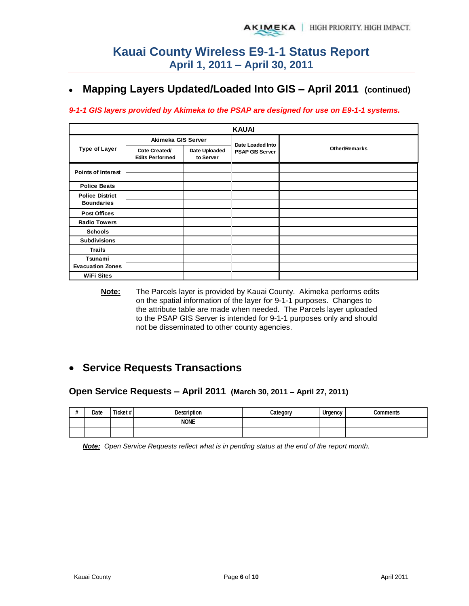#### **Mapping Layers Updated/Loaded Into GIS – April 2011 (continued)**   $\bullet$

#### *9-1-1 GIS layers provided by Akimeka to the PSAP are designed for use on E9-1-1 systems.*

|                                             |                                         |                            | <b>KAUAI</b>           |                      |
|---------------------------------------------|-----------------------------------------|----------------------------|------------------------|----------------------|
|                                             | Akimeka GIS Server                      |                            | Date Loaded Into       |                      |
| <b>Type of Layer</b>                        | Date Created/<br><b>Edits Performed</b> | Date Uploaded<br>to Server | <b>PSAP GIS Server</b> | <b>Other/Remarks</b> |
| <b>Points of Interest</b>                   |                                         |                            |                        |                      |
| <b>Police Beats</b>                         |                                         |                            |                        |                      |
| <b>Police District</b><br><b>Boundaries</b> |                                         |                            |                        |                      |
| <b>Post Offices</b>                         |                                         |                            |                        |                      |
| <b>Radio Towers</b>                         |                                         |                            |                        |                      |
| <b>Schools</b>                              |                                         |                            |                        |                      |
| <b>Subdivisions</b>                         |                                         |                            |                        |                      |
| Trails                                      |                                         |                            |                        |                      |
| Tsunami                                     |                                         |                            |                        |                      |
| <b>Evacuation Zones</b>                     |                                         |                            |                        |                      |
| <b>WiFi Sites</b>                           |                                         |                            |                        |                      |

**Note:** The Parcels layer is provided by Kauai County. Akimeka performs edits on the spatial information of the layer for 9-1-1 purposes. Changes to the attribute table are made when needed. The Parcels layer uploaded to the PSAP GIS Server is intended for 9-1-1 purposes only and should not be disseminated to other county agencies.

## **Service Requests Transactions**

#### **Open Service Requests – April 2011 (March 30, 2011 – April 27, 2011)**

| $\cdot$<br>$\boldsymbol{\pi}$ | Date | Ticket# | <b>Description</b> | `ategory | <b>Urgency</b> | <b>Comments</b> |
|-------------------------------|------|---------|--------------------|----------|----------------|-----------------|
|                               |      |         | <b>NONE</b>        |          |                |                 |
|                               |      |         |                    |          |                |                 |

*Note: Open Service Requests reflect what is in pending status at the end of the report month.*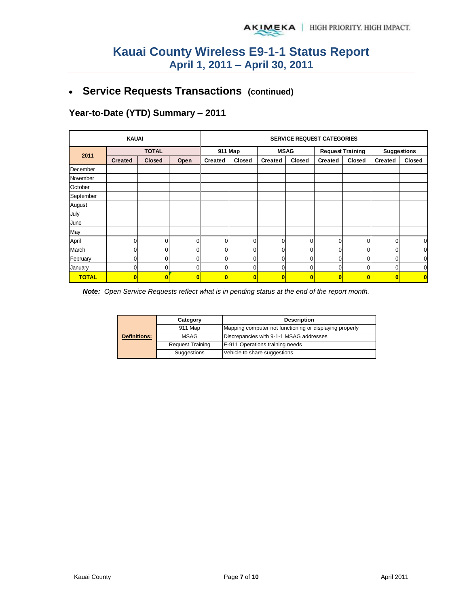## **Service Requests Transactions (continued)**

### **Year-to-Date (YTD) Summary – 2011**

|              | <b>KAUAI</b>   |                |      |                | <b>SERVICE REQUEST CATEGORIES</b> |                |             |                |                         |                    |             |  |
|--------------|----------------|----------------|------|----------------|-----------------------------------|----------------|-------------|----------------|-------------------------|--------------------|-------------|--|
|              |                | <b>TOTAL</b>   |      |                | 911 Map                           |                | <b>MSAG</b> |                | <b>Request Training</b> | <b>Suggestions</b> |             |  |
| 2011         | <b>Created</b> | <b>Closed</b>  | Open | <b>Created</b> | Closed                            | <b>Created</b> | Closed      | <b>Created</b> | Closed                  | <b>Created</b>     | Closed      |  |
| December     |                |                |      |                |                                   |                |             |                |                         |                    |             |  |
| November     |                |                |      |                |                                   |                |             |                |                         |                    |             |  |
| October      |                |                |      |                |                                   |                |             |                |                         |                    |             |  |
| September    |                |                |      |                |                                   |                |             |                |                         |                    |             |  |
| August       |                |                |      |                |                                   |                |             |                |                         |                    |             |  |
| July         |                |                |      |                |                                   |                |             |                |                         |                    |             |  |
| June         |                |                |      |                |                                   |                |             |                |                         |                    |             |  |
| May          |                |                |      |                |                                   |                |             |                |                         |                    |             |  |
| April        | 0              | $\overline{0}$ |      | 0              | $\Omega$                          | 0              | 0           | 0              | 0                       | $\overline{0}$     | $\mathbf 0$ |  |
| March        | 0              | 0              | n    | 0              | 0                                 | 0              | 0           | 0              | 0                       | $\overline{0}$     | $\mathbf 0$ |  |
| February     | 0              | 0              |      | 0              | $\Omega$                          | 0              | 0           | 0              | $\overline{0}$          | $\overline{0}$     | $\mathbf 0$ |  |
| January      | 0              | 0              |      | $\Omega$       | 0                                 | 0              | 0           | $\mathbf 0$    | 0                       | $\overline{0}$     | $\mathbf 0$ |  |
| <b>TOTAL</b> | $\bf{0}$       | O              | Λ    | $\overline{0}$ | $\bf{0}$                          | O              | $\bf{0}$    | Ō              | $\bf{0}$                | $\bf{0}$           | $\bf{0}$    |  |

*Note: Open Service Requests reflect what is in pending status at the end of the report month.* 

|                     | Category                | <b>Description</b>                                      |  |  |  |  |  |
|---------------------|-------------------------|---------------------------------------------------------|--|--|--|--|--|
|                     | 911 Map                 | Mapping computer not functioning or displaying properly |  |  |  |  |  |
| <b>Definitions:</b> | MSAG                    | Discrepancies with 9-1-1 MSAG addresses                 |  |  |  |  |  |
|                     | <b>Request Training</b> | E-911 Operations training needs                         |  |  |  |  |  |
|                     | Suggestions             | Vehicle to share suggestions                            |  |  |  |  |  |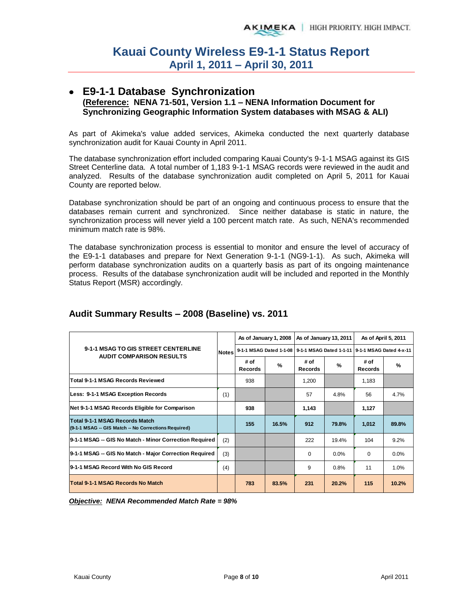#### **E9-1-1 Database Synchronization (Reference: NENA 71-501, Version 1.1 – NENA Information Document for Synchronizing Geographic Information System databases with MSAG & ALI)**

As part of Akimeka's value added services, Akimeka conducted the next quarterly database synchronization audit for Kauai County in April 2011.

The database synchronization effort included comparing Kauai County's 9-1-1 MSAG against its GIS Street Centerline data. A total number of 1,183 9-1-1 MSAG records were reviewed in the audit and analyzed. Results of the database synchronization audit completed on April 5, 2011 for Kauai County are reported below.

Database synchronization should be part of an ongoing and continuous process to ensure that the databases remain current and synchronized. Since neither database is static in nature, the synchronization process will never yield a 100 percent match rate. As such, NENA's recommended minimum match rate is 98%.

The database synchronization process is essential to monitor and ensure the level of accuracy of the E9-1-1 databases and prepare for Next Generation 9-1-1 (NG9-1-1). As such, Akimeka will perform database synchronization audits on a quarterly basis as part of its ongoing maintenance process. Results of the database synchronization audit will be included and reported in the Monthly Status Report (MSR) accordingly.

|                                                                                        |              |                        |               | As of January 1, 2008   As of January 13, 2011 |       | As of April 5, 2011                                                     |               |
|----------------------------------------------------------------------------------------|--------------|------------------------|---------------|------------------------------------------------|-------|-------------------------------------------------------------------------|---------------|
| 9-1-1 MSAG TO GIS STREET CENTERLINE                                                    | <b>Notes</b> |                        |               |                                                |       | 9-1-1 MSAG Dated 1-1-08 9-1-1 MSAG Dated 1-1-11 9-1-1 MSAG Dated 4-x-11 |               |
| <b>AUDIT COMPARISON RESULTS</b>                                                        |              | # of<br><b>Records</b> | $\frac{9}{6}$ | # of<br><b>Records</b>                         | %     | # of<br><b>Records</b>                                                  | $\frac{9}{6}$ |
| <b>Total 9-1-1 MSAG Records Reviewed</b>                                               |              | 938                    |               | 1,200                                          |       | 1,183                                                                   |               |
| Less: 9-1-1 MSAG Exception Records                                                     | (1)          |                        |               | 57                                             | 4.8%  | 56                                                                      | 4.7%          |
| Net 9-1-1 MSAG Records Eligible for Comparison                                         |              | 938                    |               | 1,143                                          |       | 1,127                                                                   |               |
| Total 9-1-1 MSAG Records Match<br>(9-1-1 MSAG -- GIS Match -- No Corrections Required) |              | 155                    | 16.5%         | 912                                            | 79.8% | 1,012                                                                   | 89.8%         |
| 9-1-1 MSAG -- GIS No Match - Minor Correction Required                                 | (2)          |                        |               | 222                                            | 19.4% | 104                                                                     | 9.2%          |
| 9-1-1 MSAG -- GIS No Match - Major Correction Required                                 | (3)          |                        |               | $\Omega$                                       | 0.0%  | $\Omega$                                                                | 0.0%          |
| 9-1-1 MSAG Record With No GIS Record                                                   | (4)          |                        |               | 9                                              | 0.8%  | 11                                                                      | 1.0%          |
| Total 9-1-1 MSAG Records No Match                                                      |              | 783                    | 83.5%         | 231                                            | 20.2% | 115                                                                     | 10.2%         |

### **Audit Summary Results – 2008 (Baseline) vs. 2011**

*Objective: NENA Recommended Match Rate = 98%*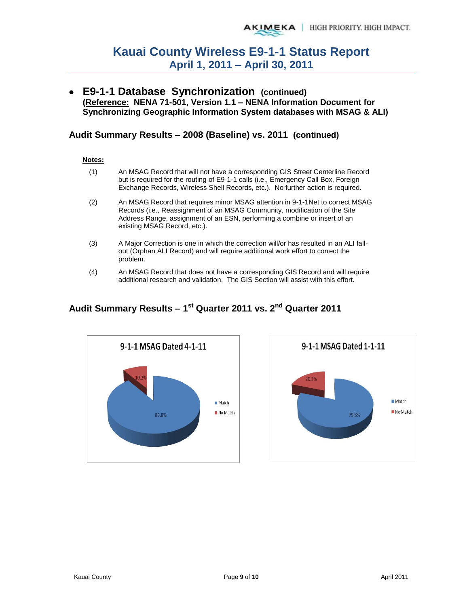**E9-1-1 Database Synchronization (continued) (Reference: NENA 71-501, Version 1.1 – NENA Information Document for Synchronizing Geographic Information System databases with MSAG & ALI)** 

### **Audit Summary Results – 2008 (Baseline) vs. 2011 (continued)**

#### **Notes:**

- (1) An MSAG Record that will not have a corresponding GIS Street Centerline Record but is required for the routing of E9-1-1 calls (i.e., Emergency Call Box, Foreign Exchange Records, Wireless Shell Records, etc.). No further action is required.
- (2) An MSAG Record that requires minor MSAG attention in 9-1-1Net to correct MSAG Records (i.e., Reassignment of an MSAG Community, modification of the Site Address Range, assignment of an ESN, performing a combine or insert of an existing MSAG Record, etc.).
- (3) A Major Correction is one in which the correction will/or has resulted in an ALI fallout (Orphan ALI Record) and will require additional work effort to correct the problem.
- (4) An MSAG Record that does not have a corresponding GIS Record and will require additional research and validation. The GIS Section will assist with this effort.





## **Audit Summary Results – 1st Quarter 2011 vs. 2nd Quarter 2011**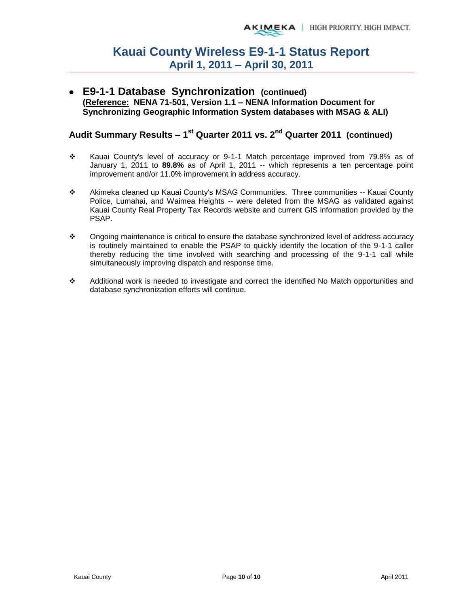**E9-1-1 Database Synchronization (continued) (Reference: NENA 71-501, Version 1.1 – NENA Information Document for Synchronizing Geographic Information System databases with MSAG & ALI)** 

## **Audit Summary Results – 1st Quarter 2011 vs. 2nd Quarter 2011 (continued)**

- \* Kauai County's level of accuracy or 9-1-1 Match percentage improved from 79.8% as of January 1, 2011 to **89.8%** as of April 1, 2011 -- which represents a ten percentage point improvement and/or 11.0% improvement in address accuracy.
- Akimeka cleaned up Kauai County's MSAG Communities. Three communities -- Kauai County Police, Lumahai, and Waimea Heights -- were deleted from the MSAG as validated against Kauai County Real Property Tax Records website and current GIS information provided by the PSAP.
- $\bullet$  Ongoing maintenance is critical to ensure the database synchronized level of address accuracy is routinely maintained to enable the PSAP to quickly identify the location of the 9-1-1 caller thereby reducing the time involved with searching and processing of the 9-1-1 call while simultaneously improving dispatch and response time.
- Additional work is needed to investigate and correct the identified No Match opportunities and database synchronization efforts will continue.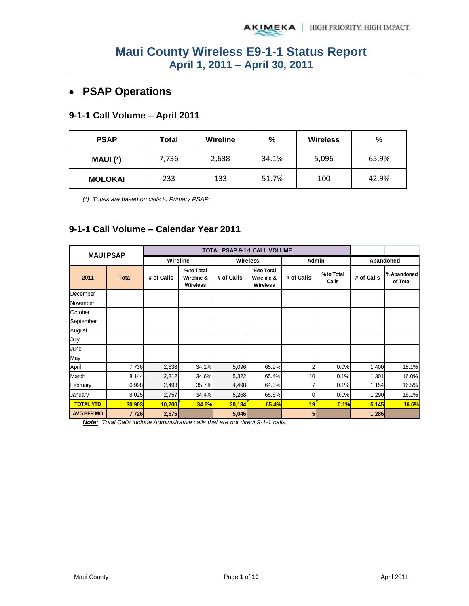## **PSAP Operations**

### **9-1-1 Call Volume – April 2011**

| <b>PSAP</b>    | Total | Wireline | %     | <b>Wireless</b> | %     |  |
|----------------|-------|----------|-------|-----------------|-------|--|
| MAUI (*)       | 7,736 | 2,638    | 34.1% | 5,096           | 65.9% |  |
| <b>MOLOKAI</b> | 233   | 133      | 51.7% | 100             | 42.9% |  |

*(\*) Totals are based on calls to Primary PSAP.* 

### **9-1-1 Call Volume – Calendar Year 2011**

| <b>MAUI PSAP</b>  |        |            |                                            | <b>TOTAL PSAP 9-1-1 CALL VOLUME</b> |                                            |                |                    |            |                         |
|-------------------|--------|------------|--------------------------------------------|-------------------------------------|--------------------------------------------|----------------|--------------------|------------|-------------------------|
|                   |        | Wireline   |                                            |                                     | <b>Wireless</b>                            | Admin          |                    |            | Abandoned               |
| 2011              | Total  | # of Calls | %to Total<br>Wireline &<br><b>Wireless</b> | # of Calls                          | %to Total<br>Wireline &<br><b>Wireless</b> | # of Calls     | %to Total<br>Calls | # of Calls | % Abandoned<br>of Total |
| December          |        |            |                                            |                                     |                                            |                |                    |            |                         |
| November          |        |            |                                            |                                     |                                            |                |                    |            |                         |
| October           |        |            |                                            |                                     |                                            |                |                    |            |                         |
| September         |        |            |                                            |                                     |                                            |                |                    |            |                         |
| August            |        |            |                                            |                                     |                                            |                |                    |            |                         |
| July              |        |            |                                            |                                     |                                            |                |                    |            |                         |
| June              |        |            |                                            |                                     |                                            |                |                    |            |                         |
| May               |        |            |                                            |                                     |                                            |                |                    |            |                         |
| April             | 7,736  | 2,638      | 34.1%                                      | 5,096                               | 65.9%                                      | $\overline{2}$ | 0.0%               | 1,400      | 18.1%                   |
| March             | 8,144  | 2,812      | 34.6%                                      | 5,322                               | 65.4%                                      | 10             | 0.1%               | 1,301      | 16.0%                   |
| February          | 6,998  | 2,493      | 35.7%                                      | 4,498                               | 64.3%                                      |                | 0.1%               | 1,154      | 16.5%                   |
| January           | 8,025  | 2,757      | 34.4%                                      | 5,268                               | 65.6%                                      | $\overline{0}$ | 0.0%               | 1,290      | 16.1%                   |
| <b>TOTAL YTD</b>  | 30,903 | 10,700     | <b>34.6%</b>                               | 20,184                              | 65.4%                                      | 19             | 0.1%               | 5,145      | 16.6%                   |
| <b>AVG PER MO</b> | 7,726  | 2,675      |                                            | 5,046                               |                                            | 5 <sub>l</sub> |                    | 1,286      |                         |

*Note: Total Calls include Administrative calls that are not direct 9-1-1 calls.*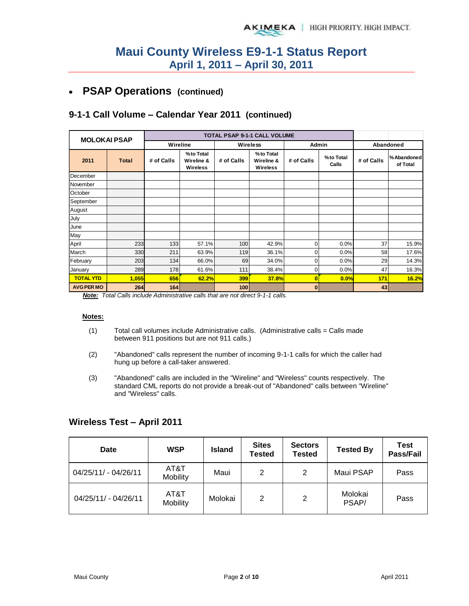## **PSAP Operations (continued)**

### **9-1-1 Call Volume – Calendar Year 2011 (continued)**

| <b>MOLOKAI PSAP</b> |              |            |                                      |            | <b>TOTAL PSAP 9-1-1 CALL VOLUME</b>        |              |                    |            |                         |
|---------------------|--------------|------------|--------------------------------------|------------|--------------------------------------------|--------------|--------------------|------------|-------------------------|
|                     |              | Wireline   |                                      | Wireless   |                                            | Admin        |                    |            | Abandoned               |
| 2011                | <b>Total</b> | # of Calls | % to Total<br>Wireline &<br>Wireless | # of Calls | %to Total<br>Wireline &<br><b>Wireless</b> | # of Calls   | %to Total<br>Calls | # of Calls | % Abandoned<br>of Total |
| December            |              |            |                                      |            |                                            |              |                    |            |                         |
| November            |              |            |                                      |            |                                            |              |                    |            |                         |
| October             |              |            |                                      |            |                                            |              |                    |            |                         |
| September           |              |            |                                      |            |                                            |              |                    |            |                         |
| August              |              |            |                                      |            |                                            |              |                    |            |                         |
| July                |              |            |                                      |            |                                            |              |                    |            |                         |
| June                |              |            |                                      |            |                                            |              |                    |            |                         |
| May                 |              |            |                                      |            |                                            |              |                    |            |                         |
| April               | 233          | 133        | 57.1%                                | 100        | 42.9%                                      | $\mathbf 0$  | 0.0%               | 37         | 15.9%                   |
| March               | 330          | 211        | 63.9%                                | 119        | 36.1%                                      | $\mathbf 0$  | 0.0%               | 58         | 17.6%                   |
| February            | 203          | 134        | 66.0%                                | 69         | 34.0%                                      | 0            | 0.0%               | 29         | 14.3%                   |
| January             | 289          | 178        | 61.6%                                | 111        | 38.4%                                      | 0            | 0.0%               | 47         | 16.3%                   |
| <b>TOTAL YTD</b>    | 1,055        | 656        | 62.2%                                | 399        | 37.8%                                      | 0            | 0.0%               | 171        | 16.2%                   |
| <b>AVG PER MO</b>   | 264          | 164        |                                      | 100        |                                            | $\mathbf{0}$ |                    | 43         |                         |

*Note: Total Calls include Administrative calls that are not direct 9-1-1 calls.* 

#### **Notes:**

- $(1)$  Total call volumes include Administrative calls. (Administrative calls = Calls made between 911 positions but are not 911 calls.)
- (2) "Abandoned" calls represent the number of incoming 9-1-1 calls for which the caller had hung up before a call-taker answered.
- (3) "Abandoned" calls are included in the "Wireline" and "Wireless" counts respectively. The standard CML reports do not provide a break-out of "Abandoned" calls between "Wireline" and "Wireless" calls.

#### **Wireless Test – April 2011**

| Date                 | <b>WSP</b>              |         | <b>Sites</b><br>Tested | <b>Sectors</b><br><b>Tested</b> | <b>Tested By</b> | <b>Test</b><br>Pass/Fail |
|----------------------|-------------------------|---------|------------------------|---------------------------------|------------------|--------------------------|
| 04/25/11/ - 04/26/11 | AT&T<br><b>Mobility</b> | Maui    | 2                      | 2                               | Maui PSAP        | Pass                     |
| 04/25/11/ - 04/26/11 | AT&T<br>Mobility        | Molokai | 2                      | 2                               | Molokai<br>PSAP/ | Pass                     |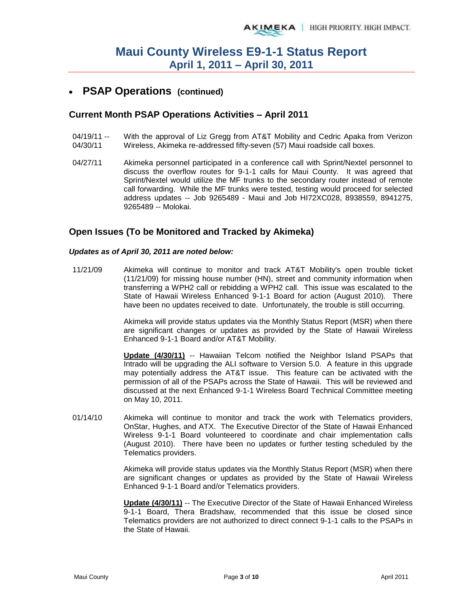### **PSAP Operations (continued)**

#### **Current Month PSAP Operations Activities – April 2011**

- 04/19/11 -- 04/30/11 With the approval of Liz Gregg from AT&T Mobility and Cedric Apaka from Verizon Wireless, Akimeka re-addressed fifty-seven (57) Maui roadside call boxes.
- 04/27/11 Akimeka personnel participated in a conference call with Sprint/Nextel personnel to discuss the overflow routes for 9-1-1 calls for Maui County. It was agreed that Sprint/Nextel would utilize the MF trunks to the secondary router instead of remote call forwarding. While the MF trunks were tested, testing would proceed for selected address updates -- Job 9265489 - Maui and Job HI72XC028, 8938559, 8941275, 9265489 -- Molokai.

#### **Open Issues (To be Monitored and Tracked by Akimeka)**

#### *Updates as of April 30, 2011 are noted below:*

11/21/09 Akimeka will continue to monitor and track AT&T Mobility's open trouble ticket (11/21/09) for missing house number (HN), street and community information when transferring a WPH2 call or rebidding a WPH2 call. This issue was escalated to the State of Hawaii Wireless Enhanced 9-1-1 Board for action (August 2010). There have been no updates received to date. Unfortunately, the trouble is still occurring.

> Akimeka will provide status updates via the Monthly Status Report (MSR) when there are significant changes or updates as provided by the State of Hawaii Wireless Enhanced 9-1-1 Board and/or AT&T Mobility.

> **Update (4/30/11)** -- Hawaiian Telcom notified the Neighbor Island PSAPs that Intrado will be upgrading the ALI software to Version 5.0. A feature in this upgrade may potentially address the AT&T issue. This feature can be activated with the permission of all of the PSAPs across the State of Hawaii. This will be reviewed and discussed at the next Enhanced 9-1-1 Wireless Board Technical Committee meeting on May 10, 2011.

01/14/10 Akimeka will continue to monitor and track the work with Telematics providers, OnStar, Hughes, and ATX. The Executive Director of the State of Hawaii Enhanced Wireless 9-1-1 Board volunteered to coordinate and chair implementation calls (August 2010). There have been no updates or further testing scheduled by the Telematics providers.

> Akimeka will provide status updates via the Monthly Status Report (MSR) when there are significant changes or updates as provided by the State of Hawaii Wireless Enhanced 9-1-1 Board and/or Telematics providers.

> **Update (4/30/11)** -- The Executive Director of the State of Hawaii Enhanced Wireless 9-1-1 Board, Thera Bradshaw, recommended that this issue be closed since Telematics providers are not authorized to direct connect 9-1-1 calls to the PSAPs in the State of Hawaii.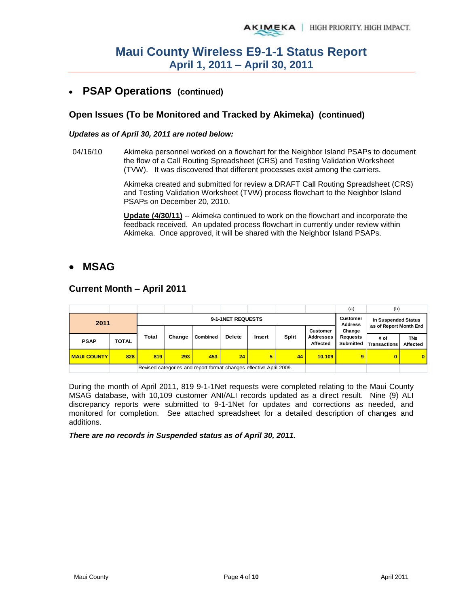## **PSAP Operations (continued)**

### **Open Issues (To be Monitored and Tracked by Akimeka) (continued)**

#### *Updates as of April 30, 2011 are noted below:*

04/16/10 Akimeka personnel worked on a flowchart for the Neighbor Island PSAPs to document the flow of a Call Routing Spreadsheet (CRS) and Testing Validation Worksheet (TVW). It was discovered that different processes exist among the carriers.

> Akimeka created and submitted for review a DRAFT Call Routing Spreadsheet (CRS) and Testing Validation Worksheet (TVW) process flowchart to the Neighbor Island PSAPs on December 20, 2010.

**Update (4/30/11)** -- Akimeka continued to work on the flowchart and incorporate the feedback received. An updated process flowchart in currently under review within Akimeka. Once approved, it will be shared with the Neighbor Island PSAPs.

### **MSAG**

#### **Current Month – April 2011**

|                    |              |                   |        |                                                                    |               |        |              |                              | (a                                | (b)                                           |                               |
|--------------------|--------------|-------------------|--------|--------------------------------------------------------------------|---------------|--------|--------------|------------------------------|-----------------------------------|-----------------------------------------------|-------------------------------|
| 2011               |              | 9-1-1NET REQUESTS |        |                                                                    |               |        |              |                              | <b>Customer</b><br><b>Address</b> | In Suspended Status<br>as of Report Month End |                               |
|                    |              |                   |        |                                                                    |               |        |              | <b>Customer</b>              | Change                            |                                               |                               |
| <b>PSAP</b>        | <b>TOTAL</b> | Total             | Change | Combined                                                           | <b>Delete</b> | Insert | <b>Split</b> | <b>Addresses</b><br>Affected | Requests<br><b>Submitted</b>      | # of<br>Transactions                          | <b>TNs</b><br><b>Affected</b> |
| <b>MAUI COUNTY</b> | 828          | 819               | 293    | 453                                                                | 24            | 5      | 44           | 10.109                       | 9 <sup>1</sup>                    | 0                                             | $\bf{0}$                      |
|                    |              |                   |        | Revised categories and report format changes effective April 2009. |               |        |              |                              |                                   |                                               |                               |

During the month of April 2011, 819 9-1-1Net requests were completed relating to the Maui County MSAG database, with 10,109 customer ANI/ALI records updated as a direct result. Nine (9) ALI discrepancy reports were submitted to 9-1-1Net for updates and corrections as needed, and monitored for completion. See attached spreadsheet for a detailed description of changes and additions.

*There are no records in Suspended status as of April 30, 2011.*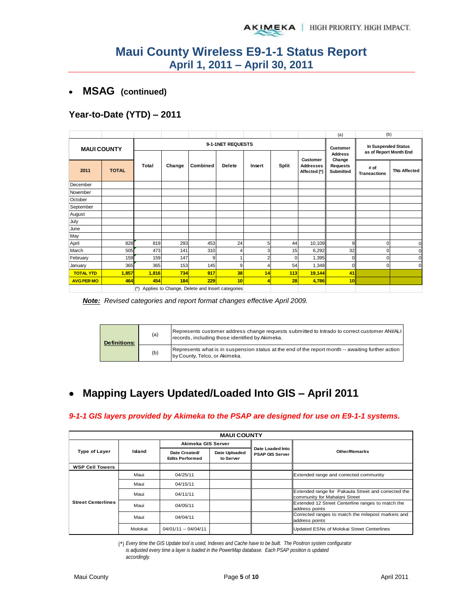#### **MSAG (continued)**  $\bullet$

### **Year-to-Date (YTD) – 2011**

|                    |              |       |                                                 |                   |                                   |                                               |       |                                              | (a)                             | (b)                         |                     |
|--------------------|--------------|-------|-------------------------------------------------|-------------------|-----------------------------------|-----------------------------------------------|-------|----------------------------------------------|---------------------------------|-----------------------------|---------------------|
| <b>MAUI COUNTY</b> |              |       |                                                 | 9-1-1NET REQUESTS | <b>Customer</b><br><b>Address</b> | In Suspended Status<br>as of Report Month End |       |                                              |                                 |                             |                     |
| 2011               | <b>TOTAL</b> |       | Change                                          | Combined          | <b>Delete</b>                     | Insert                                        | Split | Customer<br><b>Addresses</b><br>Affected (*) | Change<br>Requests<br>Submitted | # of<br><b>Transactions</b> | <b>TNs Affected</b> |
| December           |              |       |                                                 |                   |                                   |                                               |       |                                              |                                 |                             |                     |
| November           |              |       |                                                 |                   |                                   |                                               |       |                                              |                                 |                             |                     |
| October            |              |       |                                                 |                   |                                   |                                               |       |                                              |                                 |                             |                     |
| September          |              |       |                                                 |                   |                                   |                                               |       |                                              |                                 |                             |                     |
| August             |              |       |                                                 |                   |                                   |                                               |       |                                              |                                 |                             |                     |
| July               |              |       |                                                 |                   |                                   |                                               |       |                                              |                                 |                             |                     |
| June               |              |       |                                                 |                   |                                   |                                               |       |                                              |                                 |                             |                     |
| May                |              |       |                                                 |                   |                                   |                                               |       |                                              |                                 |                             |                     |
| April              | 828          | 819   | 293                                             | 453               | 24                                | 5                                             | 44    | 10,109                                       | 9                               | 0                           | C                   |
| March              | 505          | 473   | 141                                             | 310               | 4                                 | 3                                             | 15    | 6,292                                        | 32                              |                             |                     |
| February           | 159          | 159   | 147                                             | 9                 |                                   | 2                                             | 0     | 1,395                                        | $\overline{0}$                  | n                           |                     |
| January            | 365          | 365   | 153                                             | 145               | 9                                 | 4                                             | 54    | 1,348                                        | $\Omega$                        | $\Omega$                    | $\Omega$            |
| <b>TOTAL YTD</b>   | 1,857        | 1,816 | 734                                             | 917               | 38                                | 14                                            | 113   | 19,144                                       | 41                              |                             |                     |
| <b>AVG PER MO</b>  | 464          | 454   | 184                                             | 229               | 10                                | 4                                             | 28    | 4,786                                        | 10                              |                             |                     |
|                    |              | $(*)$ | Applies to Change, Delete and Insert categories |                   |                                   |                                               |       |                                              |                                 |                             |                     |

*Note: Revised categories and report format changes effective April 2009.* 

| <b>Definitions:</b> | (a) | Represents customer address change requests submitted to Intrado to correct customer ANI/ALI<br>records, including those identified by Akimeka. |
|---------------------|-----|-------------------------------------------------------------------------------------------------------------------------------------------------|
|                     | (b) | Represents what is in suspension status at the end of the report month -- awaiting further action<br>by County, Telco, or Akimeka.              |

#### **Mapping Layers Updated/Loaded Into GIS – April 2011**  $\bullet$

#### *9-1-1 GIS layers provided by Akimeka to the PSAP are designed for use on E9-1-1 systems.*

|                           | <b>MAUI COUNTY</b> |                                         |                            |                                            |                                                                                      |  |  |  |  |  |  |
|---------------------------|--------------------|-----------------------------------------|----------------------------|--------------------------------------------|--------------------------------------------------------------------------------------|--|--|--|--|--|--|
|                           |                    | Akimeka GIS Server                      |                            |                                            |                                                                                      |  |  |  |  |  |  |
| <b>Type of Layer</b>      | Island             | Date Created/<br><b>Edits Performed</b> | Date Uploaded<br>to Server | Date Loaded Into<br><b>PSAP GIS Server</b> | <b>Other/Remarks</b>                                                                 |  |  |  |  |  |  |
| <b>WSP Cell Towers</b>    |                    |                                         |                            |                                            |                                                                                      |  |  |  |  |  |  |
|                           | Maui               | 04/25/11                                |                            |                                            | Extended range and corrected community                                               |  |  |  |  |  |  |
|                           | Maui               | 04/15/11                                |                            |                                            |                                                                                      |  |  |  |  |  |  |
|                           | Maui               | 04/11/11                                |                            |                                            | Extended range for Pakaula Street and corrected the<br>community for Mahalani Street |  |  |  |  |  |  |
| <b>Street Centerlines</b> | Maui               | 04/05/11                                |                            |                                            | Extended 12 Street Centerline ranges to match the<br>address points                  |  |  |  |  |  |  |
|                           | Maui               | 04/04/11                                |                            |                                            | Corrected ranges to match the milepost markers and<br>address points                 |  |  |  |  |  |  |
|                           | Molokai            | 04/01/11 -- 04/04/11                    |                            |                                            | Updated ESNs of Molokai Street Centerlines                                           |  |  |  |  |  |  |

(\*) *Every time the GIS Update tool is used, Indexes and Cache have to be built. The Positron system configurator is adjusted every time a layer is loaded in the PowerMap database. Each PSAP position is updated accordingly.*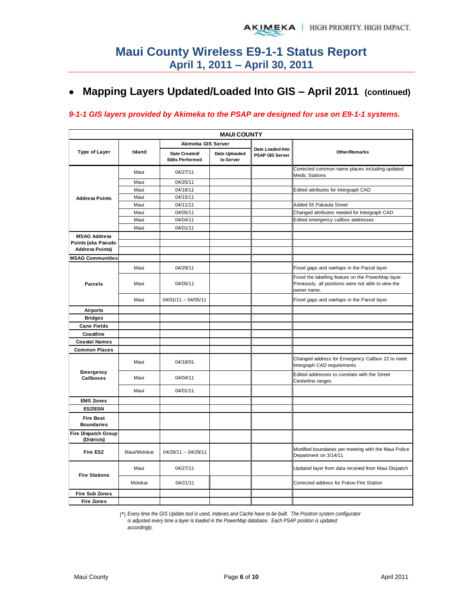## **Mapping Layers Updated/Loaded Into GIS – April 2011 (continued)**

#### *9-1-1 GIS layers provided by Akimeka to the PSAP are designed for use on E9-1-1 systems.*

| <b>MAUI COUNTY</b>                        |              |                                         |                            |                                            |                                                                                                                          |  |  |  |  |  |  |  |
|-------------------------------------------|--------------|-----------------------------------------|----------------------------|--------------------------------------------|--------------------------------------------------------------------------------------------------------------------------|--|--|--|--|--|--|--|
|                                           |              | Akimeka GIS Server                      |                            |                                            |                                                                                                                          |  |  |  |  |  |  |  |
| <b>Type of Layer</b>                      | Island       | Date Created/<br><b>Edits Performed</b> | Date Uploaded<br>to Server | Date Loaded Into<br><b>PSAP GIS Server</b> | <b>Other/Remarks</b>                                                                                                     |  |  |  |  |  |  |  |
|                                           | Maui         | 04/27/11                                |                            |                                            | Corrected common name places including updated<br><b>Medic Stations</b>                                                  |  |  |  |  |  |  |  |
|                                           | Maui         | 04/25/11                                |                            |                                            |                                                                                                                          |  |  |  |  |  |  |  |
|                                           | Maui         | 04/18/11                                |                            |                                            | Edited attributes for Intergraph CAD                                                                                     |  |  |  |  |  |  |  |
| <b>Address Points</b>                     | Maui         | 04/15/11                                |                            |                                            |                                                                                                                          |  |  |  |  |  |  |  |
|                                           | Maui         | 04/11/11                                |                            |                                            | Added 55 Pakaula Street                                                                                                  |  |  |  |  |  |  |  |
|                                           | Maui         | 04/05/11                                |                            |                                            | Changed attributes needed for Intergraph CAD                                                                             |  |  |  |  |  |  |  |
|                                           | Maui         | 04/04/11                                |                            |                                            | Edited emergency callbox addresses                                                                                       |  |  |  |  |  |  |  |
|                                           | Maui         | 04/01/11                                |                            |                                            |                                                                                                                          |  |  |  |  |  |  |  |
| <b>MSAG Address</b>                       |              |                                         |                            |                                            |                                                                                                                          |  |  |  |  |  |  |  |
| Points (aka Pseudo                        |              |                                         |                            |                                            |                                                                                                                          |  |  |  |  |  |  |  |
| <b>Address Points)</b>                    |              |                                         |                            |                                            |                                                                                                                          |  |  |  |  |  |  |  |
| <b>MSAG Communities</b>                   |              |                                         |                            |                                            |                                                                                                                          |  |  |  |  |  |  |  |
|                                           | Maui         | 04/29/11                                |                            |                                            | Fixed gaps and overlaps in the Parcel layer                                                                              |  |  |  |  |  |  |  |
| <b>Parcels</b>                            | Maui         | 04/05/11                                |                            |                                            | Fixed the labelling feature on the PowerMap layer.<br>Previously, all positions were not able to view the<br>owner name. |  |  |  |  |  |  |  |
|                                           | Maui         | 04/01/11 -- 04/05/11                    |                            |                                            | Fixed gaps and overlaps in the Parcel layer                                                                              |  |  |  |  |  |  |  |
| <b>Airports</b>                           |              |                                         |                            |                                            |                                                                                                                          |  |  |  |  |  |  |  |
| <b>Bridges</b>                            |              |                                         |                            |                                            |                                                                                                                          |  |  |  |  |  |  |  |
| <b>Cane Fields</b>                        |              |                                         |                            |                                            |                                                                                                                          |  |  |  |  |  |  |  |
| Coastline                                 |              |                                         |                            |                                            |                                                                                                                          |  |  |  |  |  |  |  |
| <b>Coastal Names</b>                      |              |                                         |                            |                                            |                                                                                                                          |  |  |  |  |  |  |  |
| <b>Common Places</b>                      |              |                                         |                            |                                            |                                                                                                                          |  |  |  |  |  |  |  |
|                                           | Maui         | 04/18/01                                |                            |                                            | Changed address for Emergency Callbox 22 to meet<br>Intergraph CAD requirements                                          |  |  |  |  |  |  |  |
| Emergency<br><b>Callboxes</b>             | Maui         | 04/04/11                                |                            |                                            | Edited addresses to correlate with the Street<br>Centerline ranges                                                       |  |  |  |  |  |  |  |
|                                           | Maui         | 04/01/11                                |                            |                                            |                                                                                                                          |  |  |  |  |  |  |  |
| <b>EMS Zones</b>                          |              |                                         |                            |                                            |                                                                                                                          |  |  |  |  |  |  |  |
| <b>ESZ/ESN</b>                            |              |                                         |                            |                                            |                                                                                                                          |  |  |  |  |  |  |  |
| <b>Fire Beat</b><br><b>Boundaries</b>     |              |                                         |                            |                                            |                                                                                                                          |  |  |  |  |  |  |  |
| <b>Fire Dispatch Group</b><br>(Districts) |              |                                         |                            |                                            |                                                                                                                          |  |  |  |  |  |  |  |
| <b>Fire ESZ</b>                           | Maui/Molokai | 04/28/11 -- 04/29/11                    |                            |                                            | Modified boundaries per meeting with the Maui Police<br>Department on 3/14/11                                            |  |  |  |  |  |  |  |
| <b>Fire Stations</b>                      | Maui         | 04/27/11                                |                            |                                            | Updated layer from data received from Maui Dispatch                                                                      |  |  |  |  |  |  |  |
|                                           | Molokai      | 04/21/11                                |                            |                                            | Corrected address for Pukoo Fire Station                                                                                 |  |  |  |  |  |  |  |
| <b>Fire Sub Zones</b>                     |              |                                         |                            |                                            |                                                                                                                          |  |  |  |  |  |  |  |
| <b>Fire Zones</b>                         |              |                                         |                            |                                            |                                                                                                                          |  |  |  |  |  |  |  |

(\*) *Every time the GIS Update tool is used, Indexes and Cache have to be built. The Positron system configurator* 

*is adjusted every time a layer is loaded in the PowerMap database. Each PSAP position is updated*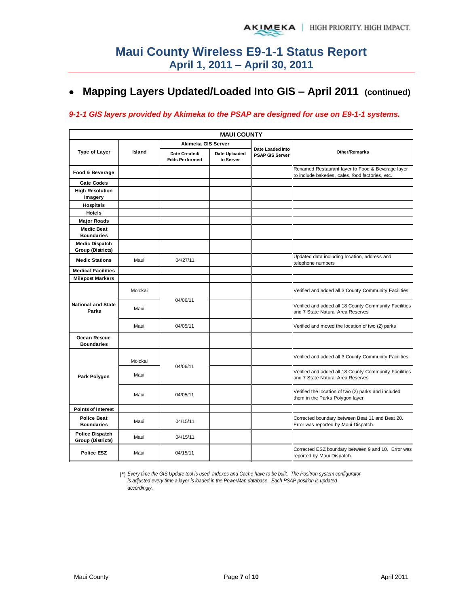## **Mapping Layers Updated/Loaded Into GIS – April 2011 (continued)**

#### *9-1-1 GIS layers provided by Akimeka to the PSAP are designed for use on E9-1-1 systems.*

| Island  | Date Created/<br><b>Edits Performed</b> | Date Uploaded<br>to Server | <b>PSAP GIS Server</b> | <b>Other/Remarks</b>                                                                                  |
|---------|-----------------------------------------|----------------------------|------------------------|-------------------------------------------------------------------------------------------------------|
|         |                                         |                            |                        | Renamed Restaurant layer to Food & Beverage layer<br>to include bakeries, cafes, food factories, etc. |
|         |                                         |                            |                        |                                                                                                       |
|         |                                         |                            |                        |                                                                                                       |
|         |                                         |                            |                        |                                                                                                       |
|         |                                         |                            |                        |                                                                                                       |
|         |                                         |                            |                        |                                                                                                       |
|         |                                         |                            |                        |                                                                                                       |
|         |                                         |                            |                        |                                                                                                       |
| Maui    | 04/27/11                                |                            |                        | Updated data including location, address and<br>telephone numbers                                     |
|         |                                         |                            |                        |                                                                                                       |
|         |                                         |                            |                        |                                                                                                       |
| Molokai |                                         |                            |                        | Verified and added all 3 County Community Facilities                                                  |
| Maui    |                                         |                            |                        | Verified and added all 18 County Community Facilities<br>and 7 State Natural Area Reserves            |
| Maui    | 04/05/11                                |                            |                        | Verified and moved the location of two (2) parks                                                      |
|         |                                         |                            |                        |                                                                                                       |
| Molokai |                                         |                            |                        | Verified and added all 3 County Community Facilities                                                  |
| Maui    |                                         |                            |                        | Verified and added all 18 County Community Facilities<br>and 7 State Natural Area Reserves            |
| Maui    | 04/05/11                                |                            |                        | Verified the location of two (2) parks and included<br>them in the Parks Polygon layer                |
|         |                                         |                            |                        |                                                                                                       |
| Maui    | 04/15/11                                |                            |                        | Corrected boundary between Beat 11 and Beat 20.<br>Error was reported by Maui Dispatch.               |
| Maui    | 04/15/11                                |                            |                        |                                                                                                       |
| Maui    | 04/15/11                                |                            |                        | Corrected ESZ boundary between 9 and 10. Error was<br>reported by Maui Dispatch.                      |
|         |                                         | 04/06/11<br>04/06/11       | Akimeka GIS Server     | <b>MAUI COUNTY</b><br>Date Loaded Into                                                                |

(\*) *Every time the GIS Update tool is used, Indexes and Cache have to be built. The Positron system configurator is adjusted every time a layer is loaded in the PowerMap database. Each PSAP position is updated accordingly.*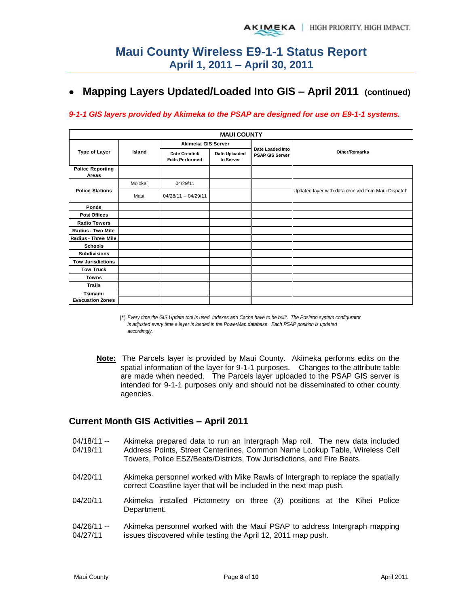## **Mapping Layers Updated/Loaded Into GIS – April 2011 (continued)**

#### *9-1-1 GIS layers provided by Akimeka to the PSAP are designed for use on E9-1-1 systems.*

|                                  |         |                                         | <b>MAUI COUNTY</b>         |                                     |                                                     |
|----------------------------------|---------|-----------------------------------------|----------------------------|-------------------------------------|-----------------------------------------------------|
|                                  | Island  | Akimeka GIS Server                      |                            |                                     |                                                     |
| <b>Type of Layer</b>             |         | Date Created/<br><b>Edits Performed</b> | Date Uploaded<br>to Server | Date Loaded Into<br>PSAP GIS Server | <b>Other/Remarks</b>                                |
| <b>Police Reporting</b><br>Areas |         |                                         |                            |                                     |                                                     |
|                                  | Molokai | 04/29/11                                |                            |                                     |                                                     |
| <b>Police Stations</b>           | Maui    | 04/28/11 -- 04/29/11                    |                            |                                     | Updated layer with data received from Maui Dispatch |
| Ponds                            |         |                                         |                            |                                     |                                                     |
| <b>Post Offices</b>              |         |                                         |                            |                                     |                                                     |
| <b>Radio Towers</b>              |         |                                         |                            |                                     |                                                     |
| Radius - Two Mile                |         |                                         |                            |                                     |                                                     |
| Radius - Three Mile              |         |                                         |                            |                                     |                                                     |
| <b>Schools</b>                   |         |                                         |                            |                                     |                                                     |
| <b>Subdivisions</b>              |         |                                         |                            |                                     |                                                     |
| <b>Tow Jurisdictions</b>         |         |                                         |                            |                                     |                                                     |
| <b>Tow Truck</b>                 |         |                                         |                            |                                     |                                                     |
| <b>Towns</b>                     |         |                                         |                            |                                     |                                                     |
| <b>Trails</b>                    |         |                                         |                            |                                     |                                                     |
| Tsunami                          |         |                                         |                            |                                     |                                                     |
| <b>Evacuation Zones</b>          |         |                                         |                            |                                     |                                                     |

<sup>(\*)</sup> *Every time the GIS Update tool is used, Indexes and Cache have to be built. The Positron system configurator is adjusted every time a layer is loaded in the PowerMap database. Each PSAP position is updated accordingly.*

**Note:** The Parcels layer is provided by Maui County. Akimeka performs edits on the spatial information of the layer for 9-1-1 purposes. Changes to the attribute table are made when needed. The Parcels layer uploaded to the PSAP GIS server is intended for 9-1-1 purposes only and should not be disseminated to other county agencies.

#### **Current Month GIS Activities – April 2011**

- 04/18/11 -- 04/19/11 Akimeka prepared data to run an Intergraph Map roll. The new data included Address Points, Street Centerlines, Common Name Lookup Table, Wireless Cell Towers, Police ESZ/Beats/Districts, Tow Jurisdictions, and Fire Beats.
- 04/20/11 Akimeka personnel worked with Mike Rawls of Intergraph to replace the spatially correct Coastline layer that will be included in the next map push.
- 04/20/11 Akimeka installed Pictometry on three (3) positions at the Kihei Police Department.
- 04/26/11 -- 04/27/11 Akimeka personnel worked with the Maui PSAP to address Intergraph mapping issues discovered while testing the April 12, 2011 map push.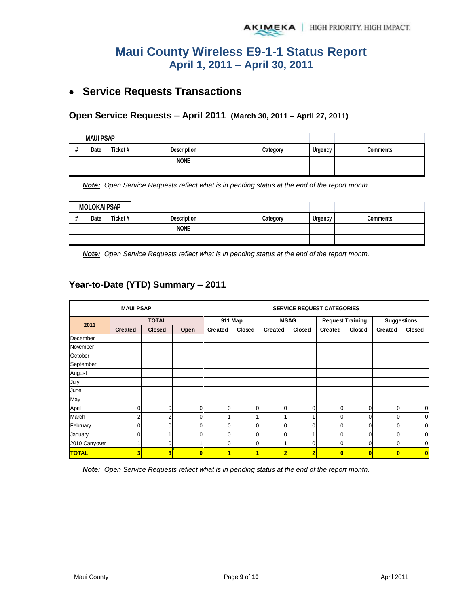## **Service Requests Transactions**

#### **Open Service Requests – April 2011 (March 30, 2011 – April 27, 2011)**

| <b>MAUI PSAP</b> |          |             |          |         |          |
|------------------|----------|-------------|----------|---------|----------|
| Date             | Ticket # | Description | Category | Urgency | Comments |
|                  |          | <b>NONE</b> |          |         |          |
|                  |          |             |          |         |          |

*Note: Open Service Requests reflect what is in pending status at the end of the report month.* 

| <b>MOLOKAI PSAP</b> |      |         |                    |          |         |          |
|---------------------|------|---------|--------------------|----------|---------|----------|
|                     | Date | Ticket# | <b>Description</b> | Categorv | Urgency | Comments |
|                     |      |         | <b>NONE</b>        |          |         |          |
|                     |      |         |                    |          |         |          |

*Note: Open Service Requests reflect what is in pending status at the end of the report month.* 

### **Year-to-Date (YTD) Summary – 2011**

|                | <b>MAUI PSAP</b>        |        |          | <b>SERVICE REQUEST CATEGORIES</b> |          |                |             |                         |                |                    |                |  |
|----------------|-------------------------|--------|----------|-----------------------------------|----------|----------------|-------------|-------------------------|----------------|--------------------|----------------|--|
| 2011           | <b>TOTAL</b>            |        |          |                                   | 911 Map  |                | <b>MSAG</b> | <b>Request Training</b> |                | <b>Suggestions</b> |                |  |
|                | <b>Created</b>          | Closed | Open     | <b>Created</b>                    | Closed   | <b>Created</b> | Closed      | <b>Created</b>          | Closed         | <b>Created</b>     | Closed         |  |
| December       |                         |        |          |                                   |          |                |             |                         |                |                    |                |  |
| November       |                         |        |          |                                   |          |                |             |                         |                |                    |                |  |
| October        |                         |        |          |                                   |          |                |             |                         |                |                    |                |  |
| September      |                         |        |          |                                   |          |                |             |                         |                |                    |                |  |
| August         |                         |        |          |                                   |          |                |             |                         |                |                    |                |  |
| July           |                         |        |          |                                   |          |                |             |                         |                |                    |                |  |
| June           |                         |        |          |                                   |          |                |             |                         |                |                    |                |  |
| May            |                         |        |          |                                   |          |                |             |                         |                |                    |                |  |
| April          | 0                       | 0      | $\Omega$ | $\Omega$                          | $\Omega$ | 0              | $\Omega$    | 0                       | 0              | 0                  | $\overline{0}$ |  |
| March          | $\overline{2}$          | 2      | 0        |                                   |          |                |             | 0                       | 0              | $\mathbf{0}$       | $\mathbf 0$    |  |
| February       | 0                       | 0      | 0        | $\Omega$                          | $\Omega$ | $\Omega$       | $\Omega$    | $\Omega$                | 0              | $\Omega$           | $\overline{0}$ |  |
| January        | 0                       |        | U        | $\Omega$                          | 0        | ∩              |             | $\Omega$                | 0              | 0                  | $\overline{0}$ |  |
| 2010 Carryover | ۰                       | ∩      |          | 0                                 | 0        |                | $\Omega$    | $\Omega$                | 0              | 0                  | $\overline{0}$ |  |
| <b>TOTAL</b>   | $\overline{\mathbf{3}}$ | 3      |          |                                   |          | 2              | 2           | C                       | $\overline{0}$ | 0                  | $\overline{0}$ |  |

*Note: Open Service Requests reflect what is in pending status at the end of the report month.*